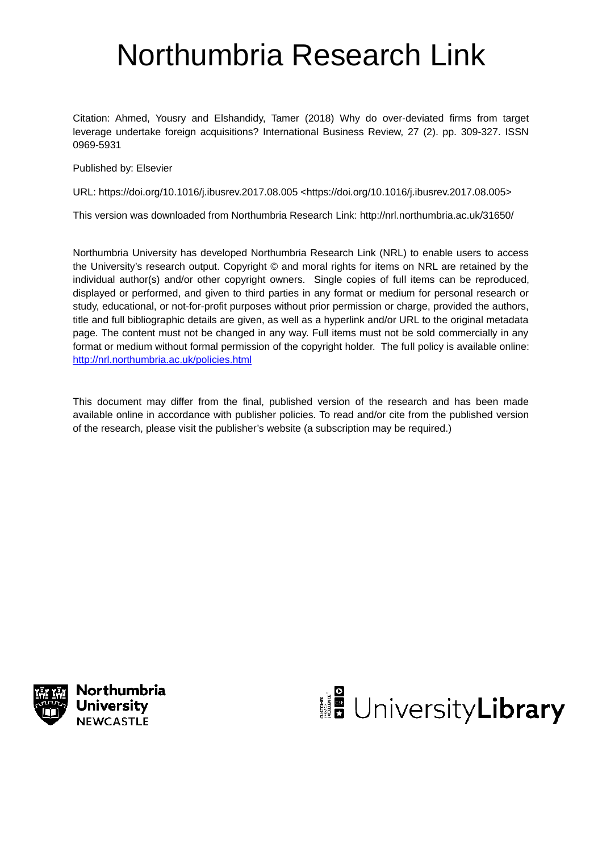# Northumbria Research Link

Citation: Ahmed, Yousry and Elshandidy, Tamer (2018) Why do over-deviated firms from target leverage undertake foreign acquisitions? International Business Review, 27 (2). pp. 309-327. ISSN 0969-5931

Published by: Elsevier

URL: https://doi.org/10.1016/j.ibusrev.2017.08.005 <https://doi.org/10.1016/j.ibusrev.2017.08.005>

This version was downloaded from Northumbria Research Link: http://nrl.northumbria.ac.uk/31650/

Northumbria University has developed Northumbria Research Link (NRL) to enable users to access the University's research output. Copyright © and moral rights for items on NRL are retained by the individual author(s) and/or other copyright owners. Single copies of full items can be reproduced, displayed or performed, and given to third parties in any format or medium for personal research or study, educational, or not-for-profit purposes without prior permission or charge, provided the authors, title and full bibliographic details are given, as well as a hyperlink and/or URL to the original metadata page. The content must not be changed in any way. Full items must not be sold commercially in any format or medium without formal permission of the copyright holder. The full policy is available online: http://nrl.northumbria.ac.uk/policies.html

This document may differ from the final, published version of the research and has been made available online in accordance with publisher policies. To read and/or cite from the published version of the research, please visit the publisher's website (a subscription may be required.)



Northumbria **University NEWCASTLE** 

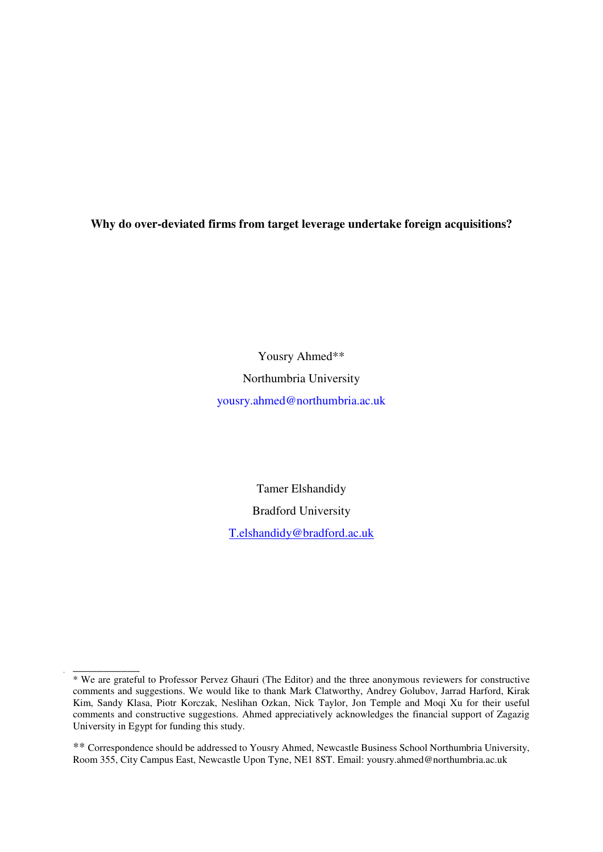**Why do over-deviated firms from target leverage undertake foreign acquisitions?** 

Yousry Ahmed\*\* Northumbria University [yousry.ahmed@northumbria.ac.uk](mailto:yousry.ahmed@northumbria.ac.uk)

> Tamer Elshandidy Bradford University

[T.elshandidy@bradford.ac.uk](mailto:T.elshandidy@bradford.ac.uk) 

\_\_\_\_\_\_\_\_\_\_\_ \* We are grateful to Professor Pervez Ghauri (The Editor) and the three anonymous reviewers for constructive comments and suggestions. We would like to thank [Mark Clatworthy,](http://www.bristol.ac.uk/accounting/people/mark-a-clatworthy/overview.html) Andrey Golubov, Jarrad Harford, Kirak Kim, Sandy Klasa, [Piotr Korczak,](https://scholar.google.co.uk/citations?view_op=search_authors&mauthors=piotr+korczak&hl=en&oi=ao) Neslihan Ozkan, Nick Taylor, Jon Temple and Moqi Xu for their useful comments and constructive suggestions. Ahmed appreciatively acknowledges the financial support of Zagazig University in Egypt for funding this study.

<sup>\*\*</sup> Correspondence should be addressed to Yousry Ahmed, Newcastle Business School Northumbria University, Room 355, City Campus East, Newcastle Upon Tyne, NE1 8ST. Email: yousry.ahmed@northumbria.ac.uk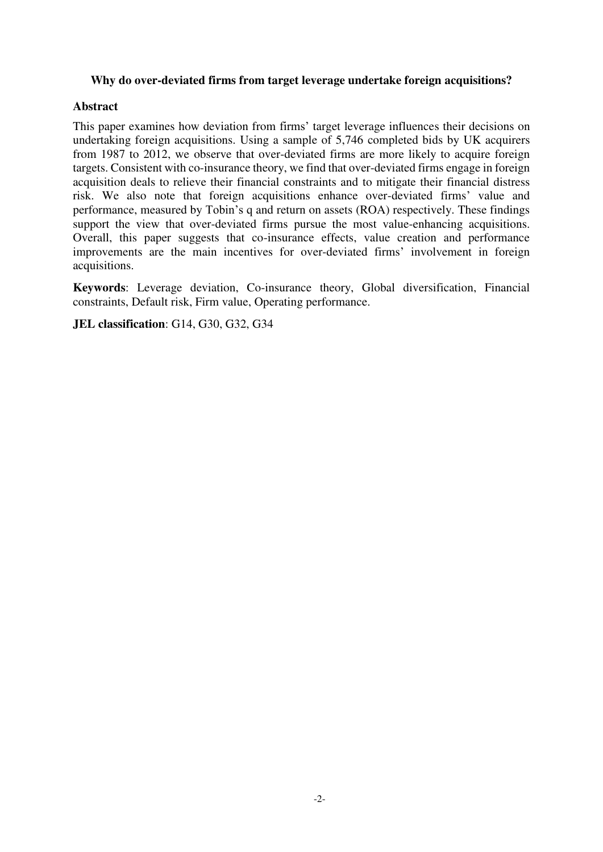# **Why do over-deviated firms from target leverage undertake foreign acquisitions?**

# **Abstract**

This paper examines how deviation from firms' target leverage influences their decisions on undertaking foreign acquisitions. Using a sample of 5,746 completed bids by UK acquirers from 1987 to 2012, we observe that over-deviated firms are more likely to acquire foreign targets. Consistent with co-insurance theory, we find that over-deviated firms engage in foreign acquisition deals to relieve their financial constraints and to mitigate their financial distress risk. We also note that foreign acquisitions enhance over-deviated firms' value and performance, measured by Tobin's q and return on assets (ROA) respectively. These findings support the view that over-deviated firms pursue the most value-enhancing acquisitions. Overall, this paper suggests that co-insurance effects, value creation and performance improvements are the main incentives for over-deviated firms' involvement in foreign acquisitions.

**Keywords**: Leverage deviation, Co-insurance theory, Global diversification, Financial constraints, Default risk, Firm value, Operating performance.

**JEL classification**: G14, G30, G32, G34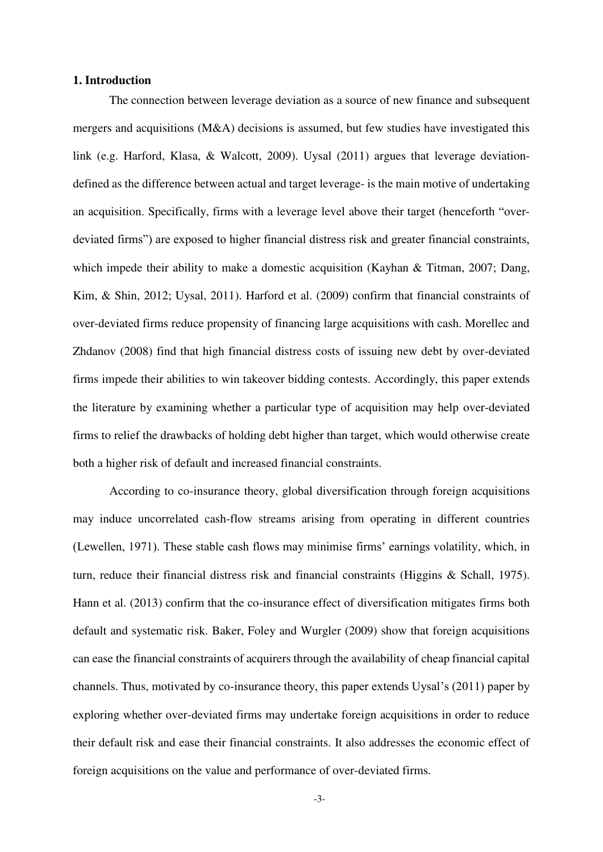## **1. Introduction**

The connection between leverage deviation as a source of new finance and subsequent mergers and acquisitions (M&A) decisions is assumed, but few studies have investigated this link (e.g. Harford, Klasa, & Walcott, 2009). Uysal (2011) argues that leverage deviationdefined as the difference between actual and target leverage- is the main motive of undertaking an acquisition. Specifically, firms with a leverage level above their target (henceforth "overdeviated firms") are exposed to higher financial distress risk and greater financial constraints, which impede their ability to make a domestic acquisition (Kayhan & Titman, 2007; Dang, Kim, & Shin, 2012; Uysal, 2011). Harford et al. (2009) confirm that financial constraints of over-deviated firms reduce propensity of financing large acquisitions with cash. Morellec and Zhdanov (2008) find that high financial distress costs of issuing new debt by over-deviated firms impede their abilities to win takeover bidding contests. Accordingly, this paper extends the literature by examining whether a particular type of acquisition may help over-deviated firms to relief the drawbacks of holding debt higher than target, which would otherwise create both a higher risk of default and increased financial constraints.

According to co-insurance theory, global diversification through foreign acquisitions may induce uncorrelated cash-flow streams arising from operating in different countries (Lewellen, 1971). These stable cash flows may minimise firms' earnings volatility, which, in turn, reduce their financial distress risk and financial constraints (Higgins & Schall, 1975). Hann et al. (2013) confirm that the co-insurance effect of diversification mitigates firms both default and systematic risk. Baker, Foley and Wurgler (2009) show that foreign acquisitions can ease the financial constraints of acquirers through the availability of cheap financial capital channels. Thus, motivated by co-insurance theory, this paper extends Uysal's (2011) paper by exploring whether over-deviated firms may undertake foreign acquisitions in order to reduce their default risk and ease their financial constraints. It also addresses the economic effect of foreign acquisitions on the value and performance of over-deviated firms.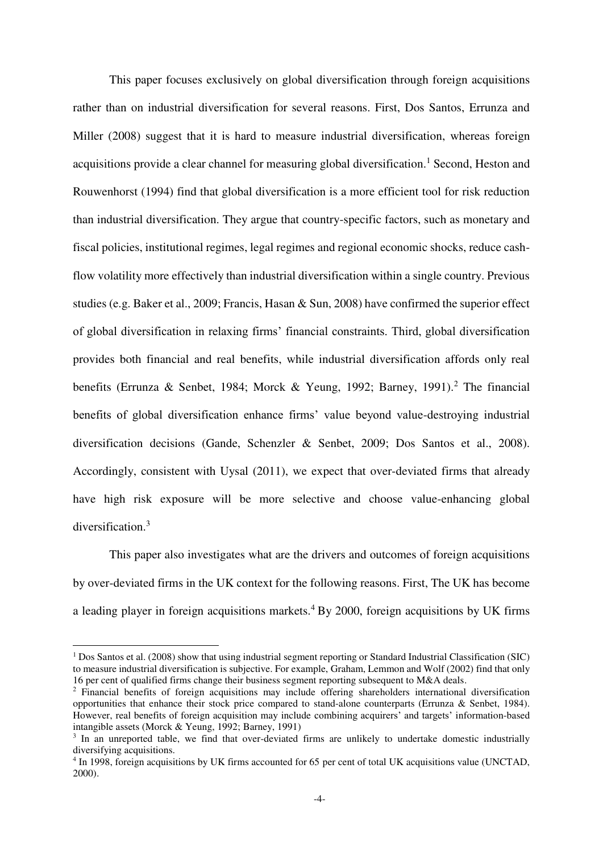This paper focuses exclusively on global diversification through foreign acquisitions rather than on industrial diversification for several reasons. First, Dos Santos, Errunza and Miller (2008) suggest that it is hard to measure industrial diversification, whereas foreign acquisitions provide a clear channel for measuring global diversification.<sup>1</sup> Second, Heston and Rouwenhorst (1994) find that global diversification is a more efficient tool for risk reduction than industrial diversification. They argue that country-specific factors, such as monetary and fiscal policies, institutional regimes, legal regimes and regional economic shocks, reduce cashflow volatility more effectively than industrial diversification within a single country. Previous studies (e.g. Baker et al., 2009; Francis, Hasan & Sun, 2008) have confirmed the superior effect of global diversification in relaxing firms' financial constraints. Third, global diversification provides both financial and real benefits, while industrial diversification affords only real benefits (Errunza & Senbet, 1984; Morck & Yeung, 1992; Barney, 1991).<sup>2</sup> The financial benefits of global diversification enhance firms' value beyond value-destroying industrial diversification decisions (Gande, Schenzler & Senbet, 2009; Dos Santos et al., 2008). Accordingly, consistent with Uysal (2011), we expect that over-deviated firms that already have high risk exposure will be more selective and choose value-enhancing global diversification.<sup>3</sup>

This paper also investigates what are the drivers and outcomes of foreign acquisitions by over-deviated firms in the UK context for the following reasons. First, The UK has become a leading player in foreign acquisitions markets. $4$  By 2000, foreign acquisitions by UK firms

<u>.</u>

<sup>&</sup>lt;sup>1</sup> Dos Santos et al. (2008) show that using industrial segment reporting or Standard Industrial Classification (SIC) to measure industrial diversification is subjective. For example, Graham, Lemmon and Wolf (2002) find that only 16 per cent of qualified firms change their business segment reporting subsequent to M&A deals.

<sup>&</sup>lt;sup>2</sup> Financial benefits of foreign acquisitions may include offering shareholders international diversification opportunities that enhance their stock price compared to stand-alone counterparts (Errunza & Senbet, 1984). However, real benefits of foreign acquisition may include combining acquirers' and targets' information-based intangible assets (Morck & Yeung, 1992; Barney, 1991)

<sup>&</sup>lt;sup>3</sup> In an unreported table, we find that over-deviated firms are unlikely to undertake domestic industrially diversifying acquisitions.

<sup>&</sup>lt;sup>4</sup> In 1998, foreign acquisitions by UK firms accounted for 65 per cent of total UK acquisitions value (UNCTAD, 2000).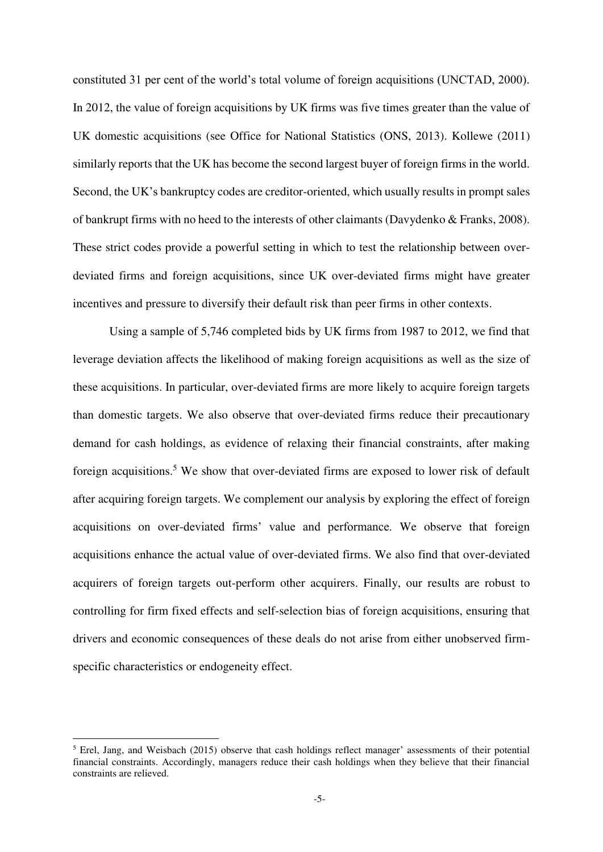constituted 31 per cent of the world's total volume of foreign acquisitions (UNCTAD, 2000). In 2012, the value of foreign acquisitions by UK firms was five times greater than the value of UK domestic acquisitions (see Office for National Statistics (ONS, 2013). Kollewe (2011) similarly reports that the UK has become the second largest buyer of foreign firms in the world. Second, the UK's bankruptcy codes are creditor-oriented, which usually results in prompt sales of bankrupt firms with no heed to the interests of other claimants (Davydenko & Franks, 2008). These strict codes provide a powerful setting in which to test the relationship between overdeviated firms and foreign acquisitions, since UK over-deviated firms might have greater incentives and pressure to diversify their default risk than peer firms in other contexts.

Using a sample of 5,746 completed bids by UK firms from 1987 to 2012, we find that leverage deviation affects the likelihood of making foreign acquisitions as well as the size of these acquisitions. In particular, over-deviated firms are more likely to acquire foreign targets than domestic targets. We also observe that over-deviated firms reduce their precautionary demand for cash holdings, as evidence of relaxing their financial constraints, after making foreign acquisitions.<sup>5</sup> We show that over-deviated firms are exposed to lower risk of default after acquiring foreign targets. We complement our analysis by exploring the effect of foreign acquisitions on over-deviated firms' value and performance. We observe that foreign acquisitions enhance the actual value of over-deviated firms. We also find that over-deviated acquirers of foreign targets out-perform other acquirers. Finally, our results are robust to controlling for firm fixed effects and self-selection bias of foreign acquisitions, ensuring that drivers and economic consequences of these deals do not arise from either unobserved firmspecific characteristics or endogeneity effect.

-

<sup>&</sup>lt;sup>5</sup> Erel, Jang, and Weisbach (2015) observe that cash holdings reflect manager' assessments of their potential financial constraints. Accordingly, managers reduce their cash holdings when they believe that their financial constraints are relieved.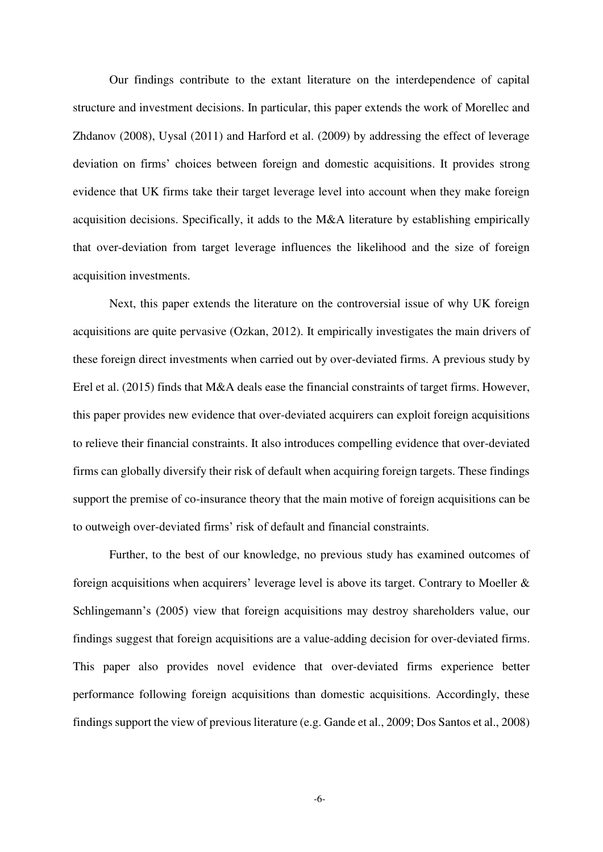Our findings contribute to the extant literature on the interdependence of capital structure and investment decisions. In particular, this paper extends the work of Morellec and Zhdanov (2008), Uysal (2011) and Harford et al. (2009) by addressing the effect of leverage deviation on firms' choices between foreign and domestic acquisitions. It provides strong evidence that UK firms take their target leverage level into account when they make foreign acquisition decisions. Specifically, it adds to the M&A literature by establishing empirically that over-deviation from target leverage influences the likelihood and the size of foreign acquisition investments.

Next, this paper extends the literature on the controversial issue of why UK foreign acquisitions are quite pervasive (Ozkan, 2012). It empirically investigates the main drivers of these foreign direct investments when carried out by over-deviated firms. A previous study by Erel et al. (2015) finds that M&A deals ease the financial constraints of target firms. However, this paper provides new evidence that over-deviated acquirers can exploit foreign acquisitions to relieve their financial constraints. It also introduces compelling evidence that over-deviated firms can globally diversify their risk of default when acquiring foreign targets. These findings support the premise of co-insurance theory that the main motive of foreign acquisitions can be to outweigh over-deviated firms' risk of default and financial constraints.

Further, to the best of our knowledge, no previous study has examined outcomes of foreign acquisitions when acquirers' leverage level is above its target. Contrary to Moeller  $\&$ Schlingemann's (2005) view that foreign acquisitions may destroy shareholders value, our findings suggest that foreign acquisitions are a value-adding decision for over-deviated firms. This paper also provides novel evidence that over-deviated firms experience better performance following foreign acquisitions than domestic acquisitions. Accordingly, these findings support the view of previous literature (e.g. Gande et al., 2009; Dos Santos et al., 2008)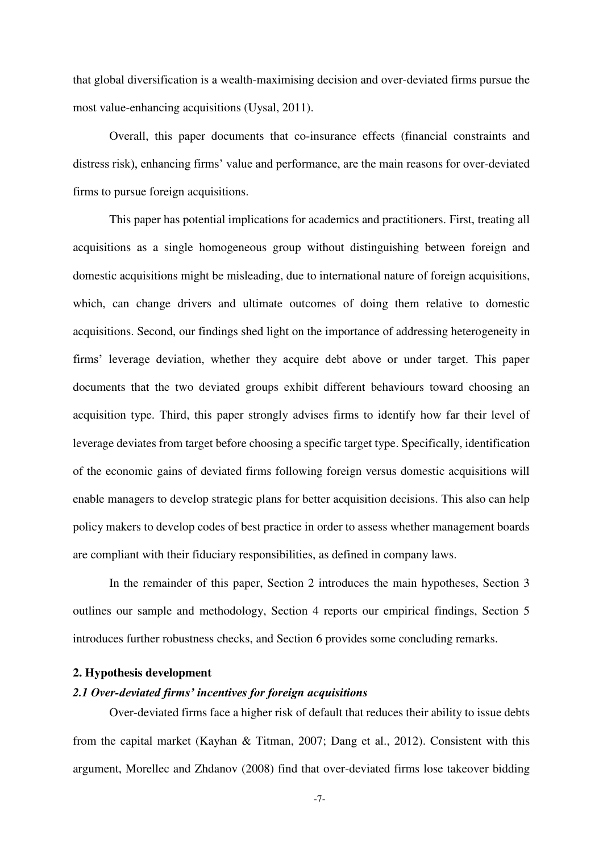that global diversification is a wealth-maximising decision and over-deviated firms pursue the most value-enhancing acquisitions (Uysal, 2011).

Overall, this paper documents that co-insurance effects (financial constraints and distress risk), enhancing firms' value and performance, are the main reasons for over-deviated firms to pursue foreign acquisitions.

This paper has potential implications for academics and practitioners. First, treating all acquisitions as a single homogeneous group without distinguishing between foreign and domestic acquisitions might be misleading, due to international nature of foreign acquisitions, which, can change drivers and ultimate outcomes of doing them relative to domestic acquisitions. Second, our findings shed light on the importance of addressing heterogeneity in firms' leverage deviation, whether they acquire debt above or under target. This paper documents that the two deviated groups exhibit different behaviours toward choosing an acquisition type. Third, this paper strongly advises firms to identify how far their level of leverage deviates from target before choosing a specific target type. Specifically, identification of the economic gains of deviated firms following foreign versus domestic acquisitions will enable managers to develop strategic plans for better acquisition decisions. This also can help policy makers to develop codes of best practice in order to assess whether management boards are compliant with their fiduciary responsibilities, as defined in company laws.

In the remainder of this paper, Section 2 introduces the main hypotheses, Section 3 outlines our sample and methodology, Section 4 reports our empirical findings, Section 5 introduces further robustness checks, and Section 6 provides some concluding remarks.

#### **2. Hypothesis development**

# *2.1 Over-deviated firms' incentives for foreign acquisitions*

Over-deviated firms face a higher risk of default that reduces their ability to issue debts from the capital market (Kayhan & Titman, 2007; Dang et al., 2012). Consistent with this argument, Morellec and Zhdanov (2008) find that over-deviated firms lose takeover bidding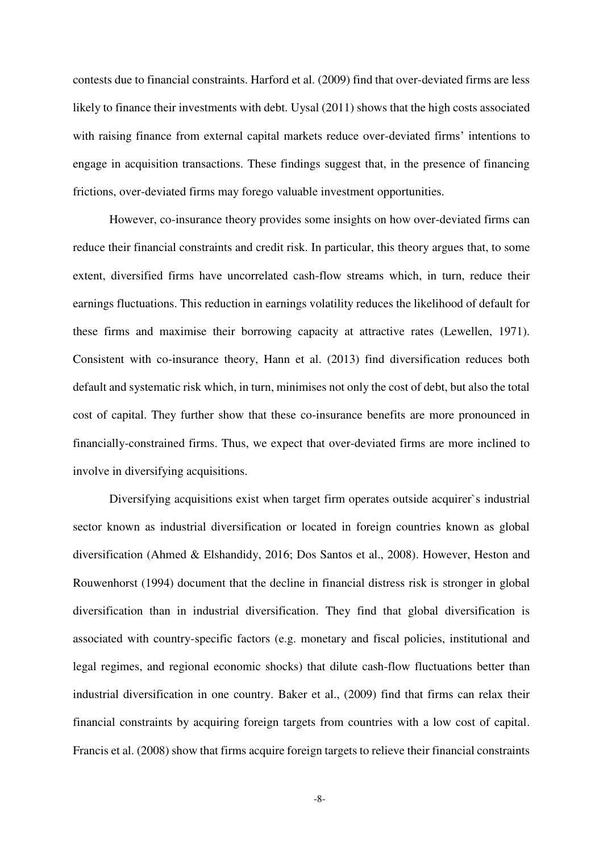contests due to financial constraints. Harford et al. (2009) find that over-deviated firms are less likely to finance their investments with debt. Uysal (2011) shows that the high costs associated with raising finance from external capital markets reduce over-deviated firms' intentions to engage in acquisition transactions. These findings suggest that, in the presence of financing frictions, over-deviated firms may forego valuable investment opportunities.

However, co-insurance theory provides some insights on how over-deviated firms can reduce their financial constraints and credit risk. In particular, this theory argues that, to some extent, diversified firms have uncorrelated cash-flow streams which, in turn, reduce their earnings fluctuations. This reduction in earnings volatility reduces the likelihood of default for these firms and maximise their borrowing capacity at attractive rates (Lewellen, 1971). Consistent with co-insurance theory, Hann et al. (2013) find diversification reduces both default and systematic risk which, in turn, minimises not only the cost of debt, but also the total cost of capital. They further show that these co-insurance benefits are more pronounced in financially-constrained firms. Thus, we expect that over-deviated firms are more inclined to involve in diversifying acquisitions.

Diversifying acquisitions exist when target firm operates outside acquirer`s industrial sector known as industrial diversification or located in foreign countries known as global diversification (Ahmed & Elshandidy, 2016; Dos Santos et al., 2008). However, Heston and Rouwenhorst (1994) document that the decline in financial distress risk is stronger in global diversification than in industrial diversification. They find that global diversification is associated with country-specific factors (e.g. monetary and fiscal policies, institutional and legal regimes, and regional economic shocks) that dilute cash-flow fluctuations better than industrial diversification in one country. Baker et al., (2009) find that firms can relax their financial constraints by acquiring foreign targets from countries with a low cost of capital. Francis et al. (2008) show that firms acquire foreign targets to relieve their financial constraints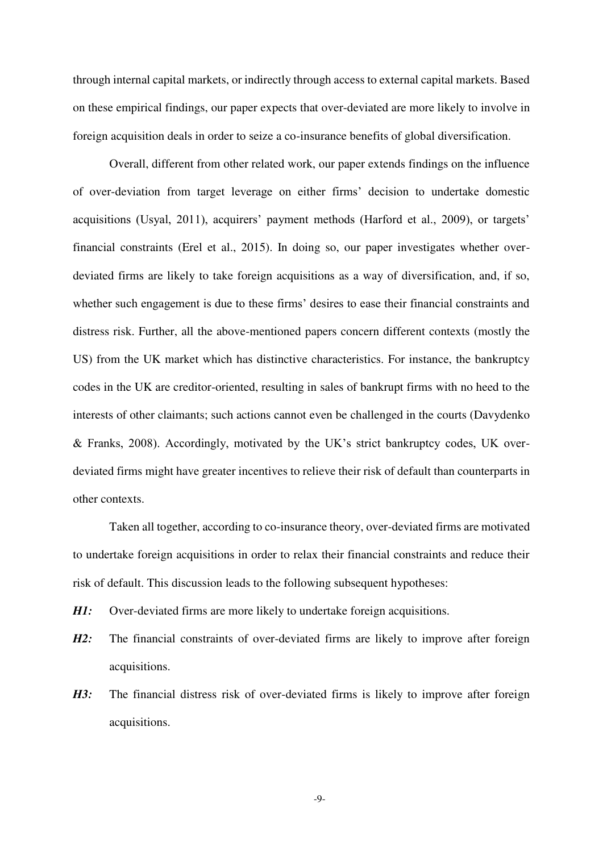through internal capital markets, or indirectly through access to external capital markets. Based on these empirical findings, our paper expects that over-deviated are more likely to involve in foreign acquisition deals in order to seize a co-insurance benefits of global diversification.

Overall, different from other related work, our paper extends findings on the influence of over-deviation from target leverage on either firms' decision to undertake domestic acquisitions (Usyal, 2011), acquirers' payment methods (Harford et al., 2009), or targets' financial constraints (Erel et al., 2015). In doing so, our paper investigates whether overdeviated firms are likely to take foreign acquisitions as a way of diversification, and, if so, whether such engagement is due to these firms' desires to ease their financial constraints and distress risk. Further, all the above-mentioned papers concern different contexts (mostly the US) from the UK market which has distinctive characteristics. For instance, the bankruptcy codes in the UK are creditor-oriented, resulting in sales of bankrupt firms with no heed to the interests of other claimants; such actions cannot even be challenged in the courts (Davydenko & Franks, 2008). Accordingly, motivated by the UK's strict bankruptcy codes, UK overdeviated firms might have greater incentives to relieve their risk of default than counterparts in other contexts.

Taken all together, according to co-insurance theory, over-deviated firms are motivated to undertake foreign acquisitions in order to relax their financial constraints and reduce their risk of default. This discussion leads to the following subsequent hypotheses:

- *H1:* Over-deviated firms are more likely to undertake foreign acquisitions.
- *H2:* The financial constraints of over-deviated firms are likely to improve after foreign acquisitions.
- *H3:* The financial distress risk of over-deviated firms is likely to improve after foreign acquisitions.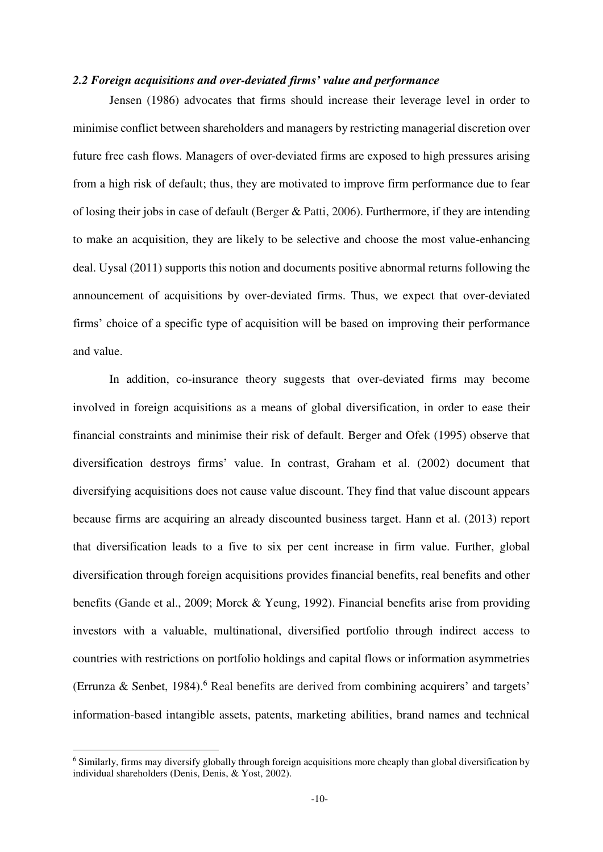#### *2.2 Foreign acquisitions and over-deviated firms' value and performance*

Jensen (1986) advocates that firms should increase their leverage level in order to minimise conflict between shareholders and managers by restricting managerial discretion over future free cash flows. Managers of over-deviated firms are exposed to high pressures arising from a high risk of default; thus, they are motivated to improve firm performance due to fear of losing their jobs in case of default (Berger & Patti, 2006). Furthermore, if they are intending to make an acquisition, they are likely to be selective and choose the most value-enhancing deal. Uysal (2011) supports this notion and documents positive abnormal returns following the announcement of acquisitions by over-deviated firms. Thus, we expect that over-deviated firms' choice of a specific type of acquisition will be based on improving their performance and value.

In addition, co-insurance theory suggests that over-deviated firms may become involved in foreign acquisitions as a means of global diversification, in order to ease their financial constraints and minimise their risk of default. Berger and Ofek (1995) observe that diversification destroys firms' value. In contrast, Graham et al. (2002) document that diversifying acquisitions does not cause value discount. They find that value discount appears because firms are acquiring an already discounted business target. Hann et al. (2013) report that diversification leads to a five to six per cent increase in firm value. Further, global diversification through foreign acquisitions provides financial benefits, real benefits and other benefits (Gande et al., 2009; Morck & Yeung, 1992). Financial benefits arise from providing investors with a valuable, multinational, diversified portfolio through indirect access to countries with restrictions on portfolio holdings and capital flows or information asymmetries (Errunza & Senbet, 1984).<sup>6</sup> Real benefits are derived from combining acquirers' and targets' information-based intangible assets, patents, marketing abilities, brand names and technical

<u>.</u>

<sup>&</sup>lt;sup>6</sup> Similarly, firms may diversify globally through foreign acquisitions more cheaply than global diversification by individual shareholders (Denis, Denis, & Yost, 2002).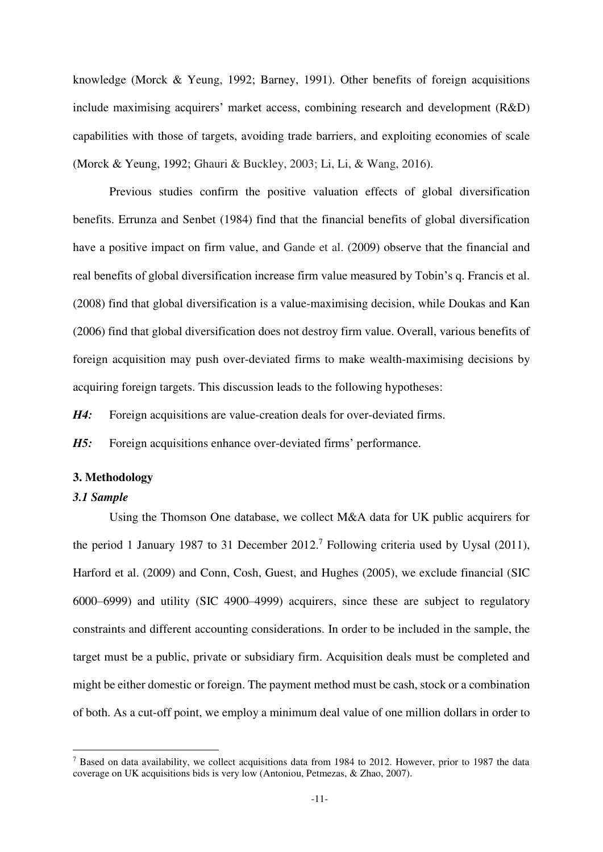knowledge (Morck & Yeung, 1992; Barney, 1991). Other benefits of foreign acquisitions include maximising acquirers' market access, combining research and development (R&D) capabilities with those of targets, avoiding trade barriers, and exploiting economies of scale (Morck & Yeung, 1992; Ghauri & Buckley, 2003; Li, Li, & Wang, 2016).

Previous studies confirm the positive valuation effects of global diversification benefits. Errunza and Senbet (1984) find that the financial benefits of global diversification have a positive impact on firm value, and Gande et al. (2009) observe that the financial and real benefits of global diversification increase firm value measured by Tobin's q. Francis et al. (2008) find that global diversification is a value-maximising decision, while Doukas and Kan (2006) find that global diversification does not destroy firm value. Overall, various benefits of foreign acquisition may push over-deviated firms to make wealth-maximising decisions by acquiring foreign targets. This discussion leads to the following hypotheses:

*H4:* Foreign acquisitions are value-creation deals for over-deviated firms.

*H5:* Foreign acquisitions enhance over-deviated firms' performance.

#### **3. Methodology**

## *3.1 Sample*

<u>.</u>

Using the Thomson One database, we collect M&A data for UK public acquirers for the period 1 January 1987 to 31 December  $2012<sup>7</sup>$  Following criteria used by Uysal (2011), Harford et al. (2009) and Conn, Cosh, Guest, and Hughes (2005), we exclude financial (SIC 6000–6999) and utility (SIC 4900–4999) acquirers, since these are subject to regulatory constraints and different accounting considerations. In order to be included in the sample, the target must be a public, private or subsidiary firm. Acquisition deals must be completed and might be either domestic or foreign. The payment method must be cash, stock or a combination of both. As a cut-off point, we employ a minimum deal value of one million dollars in order to

<sup>&</sup>lt;sup>7</sup> Based on data availability, we collect acquisitions data from 1984 to 2012. However, prior to 1987 the data coverage on UK acquisitions bids is very low (Antoniou, Petmezas, & Zhao, 2007).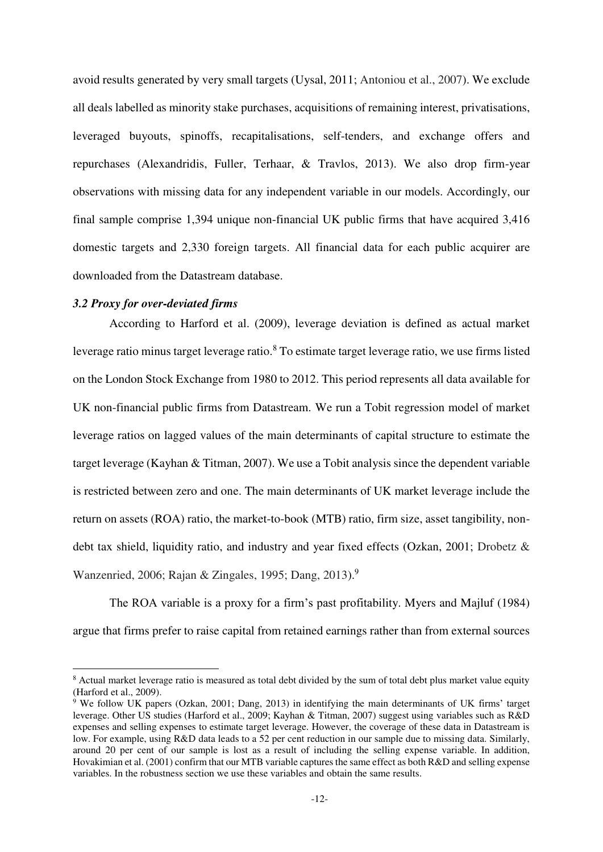avoid results generated by very small targets (Uysal, 2011; Antoniou et al., 2007). We exclude all deals labelled as minority stake purchases, acquisitions of remaining interest, privatisations, leveraged buyouts, spinoffs, recapitalisations, self-tenders, and exchange offers and repurchases (Alexandridis, Fuller, Terhaar, & Travlos, 2013). We also drop firm-year observations with missing data for any independent variable in our models. Accordingly, our final sample comprise 1,394 unique non-financial UK public firms that have acquired 3,416 domestic targets and 2,330 foreign targets. All financial data for each public acquirer are downloaded from the Datastream database.

### *3.2 Proxy for over-deviated firms*

<u>.</u>

According to Harford et al. (2009), leverage deviation is defined as actual market leverage ratio minus target leverage ratio.<sup>8</sup> To estimate target leverage ratio, we use firms listed on the London Stock Exchange from 1980 to 2012. This period represents all data available for UK non-financial public firms from Datastream. We run a Tobit regression model of market leverage ratios on lagged values of the main determinants of capital structure to estimate the target leverage (Kayhan & Titman, 2007). We use a Tobit analysis since the dependent variable is restricted between zero and one. The main determinants of UK market leverage include the return on assets (ROA) ratio, the market-to-book (MTB) ratio, firm size, asset tangibility, nondebt tax shield, liquidity ratio, and industry and year fixed effects (Ozkan, 2001; Drobetz & Wanzenried, 2006; Rajan & Zingales, 1995; Dang, 2013).<sup>9</sup>

The ROA variable is a proxy for a firm's past profitability. Myers and Majluf (1984) argue that firms prefer to raise capital from retained earnings rather than from external sources

<sup>&</sup>lt;sup>8</sup> Actual market leverage ratio is measured as total debt divided by the sum of total debt plus market value equity (Harford et al., 2009).

<sup>&</sup>lt;sup>9</sup> We follow UK papers (Ozkan, 2001; Dang, 2013) in identifying the main determinants of UK firms' target leverage. Other US studies (Harford et al., 2009; Kayhan & Titman, 2007) suggest using variables such as R&D expenses and selling expenses to estimate target leverage. However, the coverage of these data in Datastream is low. For example, using R&D data leads to a 52 per cent reduction in our sample due to missing data. Similarly, around 20 per cent of our sample is lost as a result of including the selling expense variable. In addition, Hovakimian et al. (2001) confirm that our MTB variable captures the same effect as both R&D and selling expense variables. In the robustness section we use these variables and obtain the same results.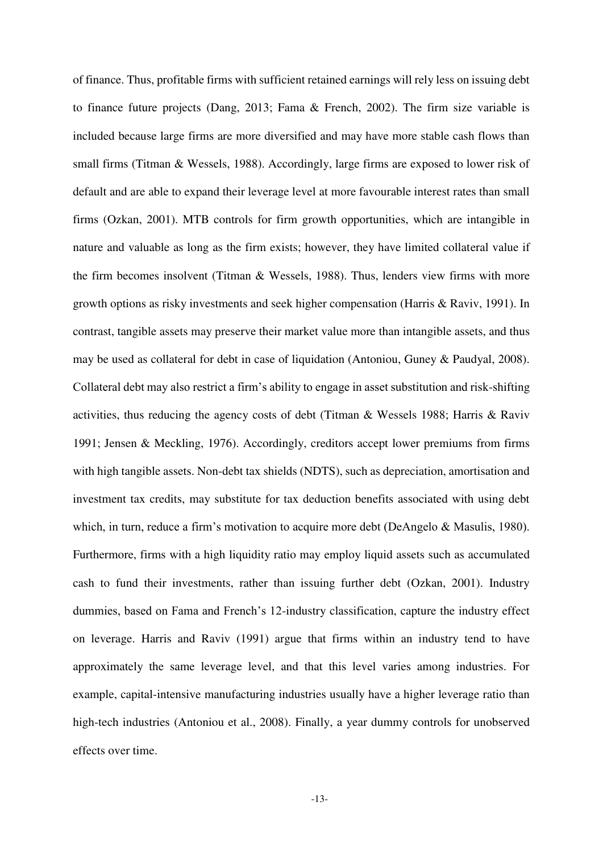of finance. Thus, profitable firms with sufficient retained earnings will rely less on issuing debt to finance future projects (Dang, 2013; Fama & French, 2002). The firm size variable is included because large firms are more diversified and may have more stable cash flows than small firms (Titman & Wessels, 1988). Accordingly, large firms are exposed to lower risk of default and are able to expand their leverage level at more favourable interest rates than small firms (Ozkan, 2001). MTB controls for firm growth opportunities, which are intangible in nature and valuable as long as the firm exists; however, they have limited collateral value if the firm becomes insolvent (Titman & Wessels, 1988). Thus, lenders view firms with more growth options as risky investments and seek higher compensation (Harris & Raviv, 1991). In contrast, tangible assets may preserve their market value more than intangible assets, and thus may be used as collateral for debt in case of liquidation (Antoniou, Guney & Paudyal, 2008). Collateral debt may also restrict a firm's ability to engage in asset substitution and risk-shifting activities, thus reducing the agency costs of debt (Titman & Wessels 1988; Harris & Raviv 1991; Jensen & Meckling, 1976). Accordingly, creditors accept lower premiums from firms with high tangible assets. Non-debt tax shields (NDTS), such as depreciation, amortisation and investment tax credits, may substitute for tax deduction benefits associated with using debt which, in turn, reduce a firm's motivation to acquire more debt (DeAngelo & Masulis, 1980). Furthermore, firms with a high liquidity ratio may employ liquid assets such as accumulated cash to fund their investments, rather than issuing further debt (Ozkan, 2001). Industry dummies, based on Fama and French's 12-industry classification, capture the industry effect on leverage. Harris and Raviv (1991) argue that firms within an industry tend to have approximately the same leverage level, and that this level varies among industries. For example, capital-intensive manufacturing industries usually have a higher leverage ratio than high-tech industries (Antoniou et al., 2008). Finally, a year dummy controls for unobserved effects over time.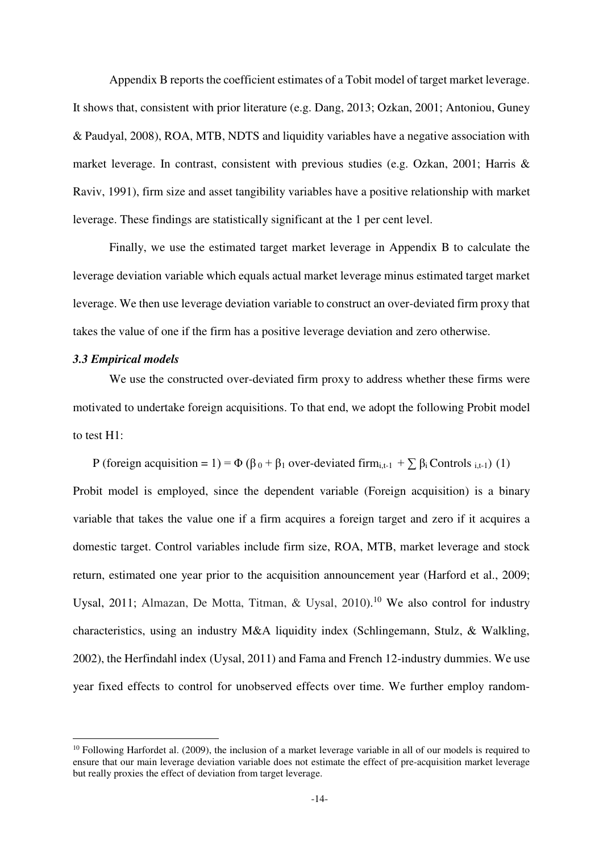Appendix B reports the coefficient estimates of a Tobit model of target market leverage. It shows that, consistent with prior literature (e.g. Dang, 2013; Ozkan, 2001; Antoniou, Guney & Paudyal, 2008), ROA, MTB, NDTS and liquidity variables have a negative association with market leverage. In contrast, consistent with previous studies (e.g. Ozkan, 2001; Harris & Raviv, 1991), firm size and asset tangibility variables have a positive relationship with market leverage. These findings are statistically significant at the 1 per cent level.

Finally, we use the estimated target market leverage in Appendix B to calculate the leverage deviation variable which equals actual market leverage minus estimated target market leverage. We then use leverage deviation variable to construct an over-deviated firm proxy that takes the value of one if the firm has a positive leverage deviation and zero otherwise.

#### *3.3 Empirical models*

-

We use the constructed over-deviated firm proxy to address whether these firms were motivated to undertake foreign acquisitions. To that end, we adopt the following Probit model to test H1:

P (foreign acquisition = 1) =  $\Phi$  ( $\beta_0$  +  $\beta_1$  over-deviated firm<sub>i,t-1</sub> +  $\sum \beta_i$  Controls <sub>i,t-1</sub>) (1) Probit model is employed, since the dependent variable (Foreign acquisition) is a binary variable that takes the value one if a firm acquires a foreign target and zero if it acquires a domestic target. Control variables include firm size, ROA, MTB, market leverage and stock return, estimated one year prior to the acquisition announcement year (Harford et al., 2009; Uysal, 2011; Almazan, De Motta, Titman, & Uysal, 2010).<sup>10</sup> We also control for industry characteristics, using an industry M&A liquidity index (Schlingemann, Stulz, & Walkling, 2002), the Herfindahl index (Uysal, 2011) and Fama and French 12-industry dummies. We use year fixed effects to control for unobserved effects over time. We further employ random-

 $10$  Following Harfordet al. (2009), the inclusion of a market leverage variable in all of our models is required to ensure that our main leverage deviation variable does not estimate the effect of pre-acquisition market leverage but really proxies the effect of deviation from target leverage.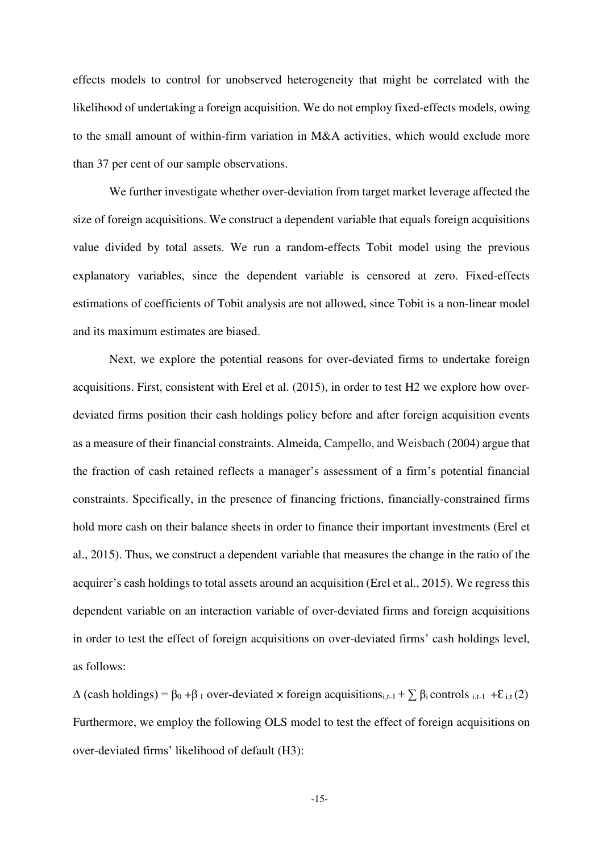effects models to control for unobserved heterogeneity that might be correlated with the likelihood of undertaking a foreign acquisition. We do not employ fixed-effects models, owing to the small amount of within-firm variation in M&A activities, which would exclude more than 37 per cent of our sample observations.

We further investigate whether over-deviation from target market leverage affected the size of foreign acquisitions. We construct a dependent variable that equals foreign acquisitions value divided by total assets. We run a random-effects Tobit model using the previous explanatory variables, since the dependent variable is censored at zero. Fixed-effects estimations of coefficients of Tobit analysis are not allowed, since Tobit is a non-linear model and its maximum estimates are biased.

Next, we explore the potential reasons for over-deviated firms to undertake foreign acquisitions. First, consistent with Erel et al. (2015), in order to test H2 we explore how overdeviated firms position their cash holdings policy before and after foreign acquisition events as a measure of their financial constraints. Almeida, Campello, and Weisbach (2004) argue that the fraction of cash retained reflects a manager's assessment of a firm's potential financial constraints. Specifically, in the presence of financing frictions, financially-constrained firms hold more cash on their balance sheets in order to finance their important investments (Erel et al., 2015). Thus, we construct a dependent variable that measures the change in the ratio of the acquirer's cash holdings to total assets around an acquisition (Erel et al., 2015). We regress this dependent variable on an interaction variable of over-deviated firms and foreign acquisitions in order to test the effect of foreign acquisitions on over-deviated firms' cash holdings level, as follows:

 $\Delta$  (cash holdings) = β<sub>0</sub> +β<sub>1</sub> over-deviated × foreign acquisitions<sub>i,t-1</sub> +  $\sum$  β<sub>i</sub> controls <sub>i,t-1</sub> + ε<sub>i,t</sub> (2) Furthermore, we employ the following OLS model to test the effect of foreign acquisitions on over-deviated firms' likelihood of default (H3):

-15-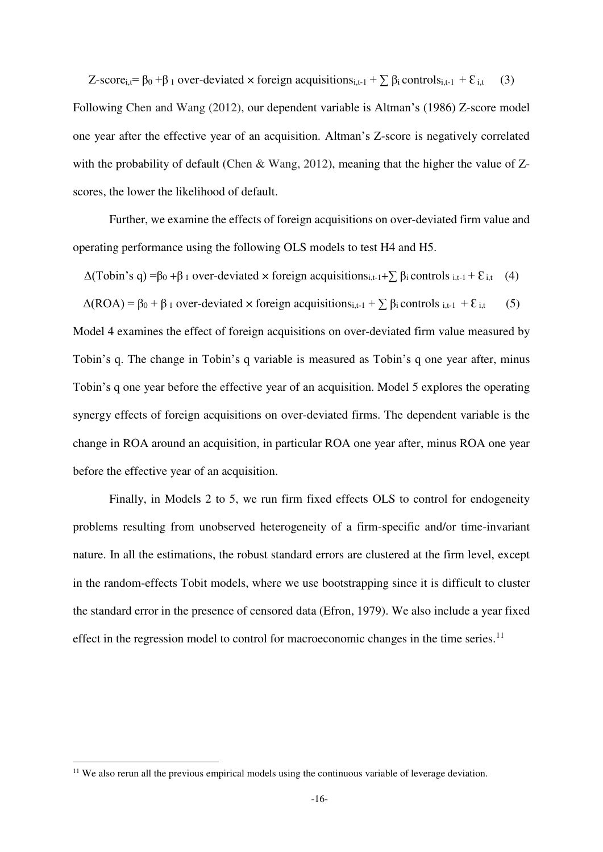Z-score<sub>i,t</sub>=  $\beta_0$  + $\beta_1$  over-deviated × foreign acquisitions<sub>i,t-1</sub> +  $\sum \beta_i$  controls<sub>i,t-1</sub> +  $\epsilon$ <sub>i,t</sub> (3) Following Chen and Wang (2012), our dependent variable is Altman's (1986) Z-score model one year after the effective year of an acquisition. Altman's Z-score is negatively correlated with the probability of default (Chen & Wang, 2012), meaning that the higher the value of Zscores, the lower the likelihood of default.

Further, we examine the effects of foreign acquisitions on over-deviated firm value and operating performance using the following OLS models to test H4 and H5.

 $\Delta$ (Tobin's q) =β<sub>0</sub> +β<sub>1</sub> over-deviated × foreign acquisitions<sub>i,t-1</sub>+ $\sum$  β<sub>i</sub> controls <sub>i,t-1</sub> +  $\mathcal{E}_{i,t}$  (4)

 $\Delta (ROA) = \beta_0 + \beta_1$  over-deviated  $\times$  foreign acquisitions<sub>i,t-1</sub> +  $\sum \beta_i$  controls <sub>i,t-1</sub> +  $\epsilon$ <sub>i,t</sub> (5)

Model 4 examines the effect of foreign acquisitions on over-deviated firm value measured by Tobin's q. The change in Tobin's q variable is measured as Tobin's q one year after, minus Tobin's q one year before the effective year of an acquisition. Model 5 explores the operating synergy effects of foreign acquisitions on over-deviated firms. The dependent variable is the change in ROA around an acquisition, in particular ROA one year after, minus ROA one year before the effective year of an acquisition.

Finally, in Models 2 to 5, we run firm fixed effects OLS to control for endogeneity problems resulting from unobserved heterogeneity of a firm-specific and/or time-invariant nature. In all the estimations, the robust standard errors are clustered at the firm level, except in the random-effects Tobit models, where we use bootstrapping since it is difficult to cluster the standard error in the presence of censored data (Efron, 1979). We also include a year fixed effect in the regression model to control for macroeconomic changes in the time series.<sup>11</sup>

-

<sup>&</sup>lt;sup>11</sup> We also rerun all the previous empirical models using the continuous variable of leverage deviation.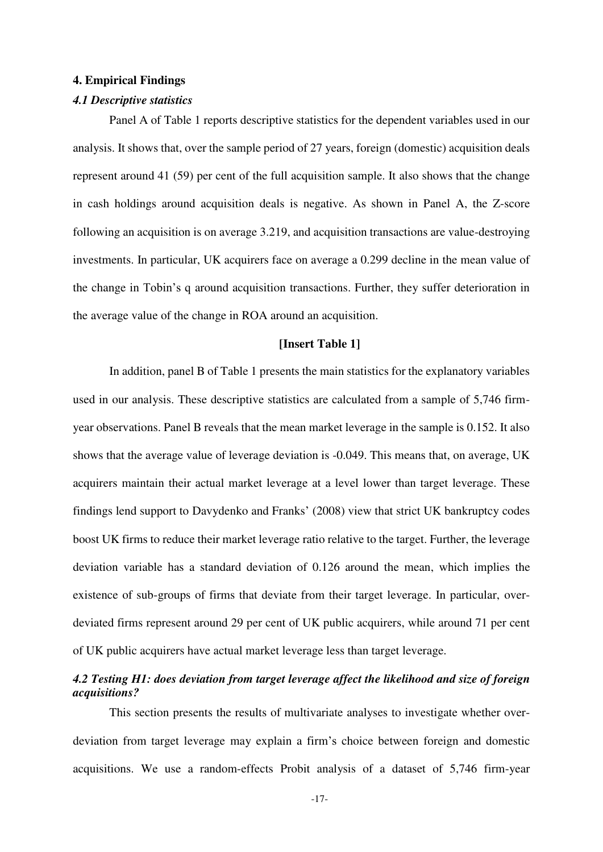#### **4. Empirical Findings**

## *4.1 Descriptive statistics*

Panel A of Table 1 reports descriptive statistics for the dependent variables used in our analysis. It shows that, over the sample period of 27 years, foreign (domestic) acquisition deals represent around 41 (59) per cent of the full acquisition sample. It also shows that the change in cash holdings around acquisition deals is negative. As shown in Panel A, the Z-score following an acquisition is on average 3.219, and acquisition transactions are value-destroying investments. In particular, UK acquirers face on average a 0.299 decline in the mean value of the change in Tobin's q around acquisition transactions. Further, they suffer deterioration in the average value of the change in ROA around an acquisition.

#### **[Insert Table 1]**

In addition, panel B of Table 1 presents the main statistics for the explanatory variables used in our analysis. These descriptive statistics are calculated from a sample of 5,746 firmyear observations. Panel B reveals that the mean market leverage in the sample is 0.152. It also shows that the average value of leverage deviation is -0.049. This means that, on average, UK acquirers maintain their actual market leverage at a level lower than target leverage. These findings lend support to Davydenko and Franks' (2008) view that strict UK bankruptcy codes boost UK firms to reduce their market leverage ratio relative to the target. Further, the leverage deviation variable has a standard deviation of 0.126 around the mean, which implies the existence of sub-groups of firms that deviate from their target leverage. In particular, overdeviated firms represent around 29 per cent of UK public acquirers, while around 71 per cent of UK public acquirers have actual market leverage less than target leverage.

# *4.2 Testing H1: does deviation from target leverage affect the likelihood and size of foreign acquisitions?*

This section presents the results of multivariate analyses to investigate whether overdeviation from target leverage may explain a firm's choice between foreign and domestic acquisitions. We use a random-effects Probit analysis of a dataset of 5,746 firm-year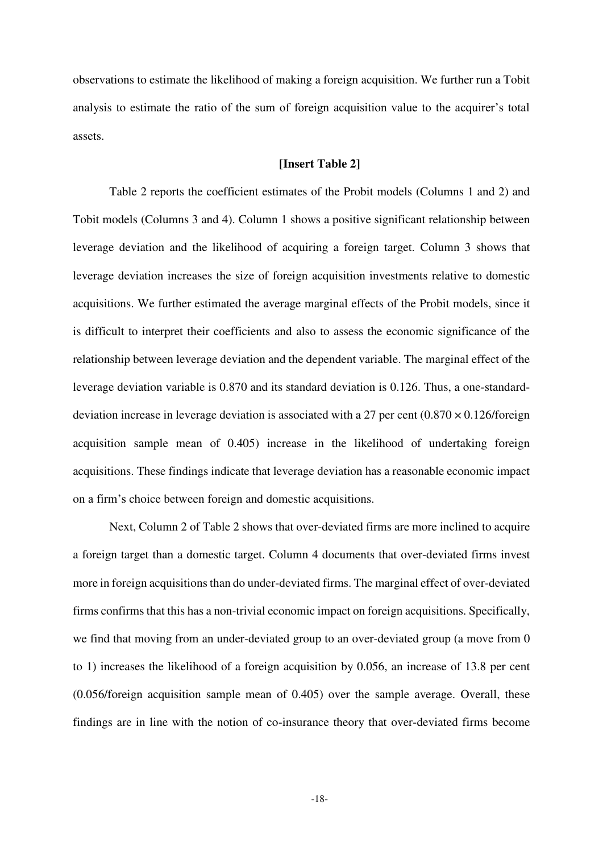observations to estimate the likelihood of making a foreign acquisition. We further run a Tobit analysis to estimate the ratio of the sum of foreign acquisition value to the acquirer's total assets.

## **[Insert Table 2]**

Table 2 reports the coefficient estimates of the Probit models (Columns 1 and 2) and Tobit models (Columns 3 and 4). Column 1 shows a positive significant relationship between leverage deviation and the likelihood of acquiring a foreign target. Column 3 shows that leverage deviation increases the size of foreign acquisition investments relative to domestic acquisitions. We further estimated the average marginal effects of the Probit models, since it is difficult to interpret their coefficients and also to assess the economic significance of the relationship between leverage deviation and the dependent variable. The marginal effect of the leverage deviation variable is 0.870 and its standard deviation is 0.126. Thus, a one-standarddeviation increase in leverage deviation is associated with a 27 per cent  $(0.870 \times 0.126$ /foreign acquisition sample mean of 0.405) increase in the likelihood of undertaking foreign acquisitions. These findings indicate that leverage deviation has a reasonable economic impact on a firm's choice between foreign and domestic acquisitions.

Next, Column 2 of Table 2 shows that over-deviated firms are more inclined to acquire a foreign target than a domestic target. Column 4 documents that over-deviated firms invest more in foreign acquisitions than do under-deviated firms. The marginal effect of over-deviated firms confirms that this has a non-trivial economic impact on foreign acquisitions. Specifically, we find that moving from an under-deviated group to an over-deviated group (a move from 0 to 1) increases the likelihood of a foreign acquisition by 0.056, an increase of 13.8 per cent (0.056/foreign acquisition sample mean of 0.405) over the sample average. Overall, these findings are in line with the notion of co-insurance theory that over-deviated firms become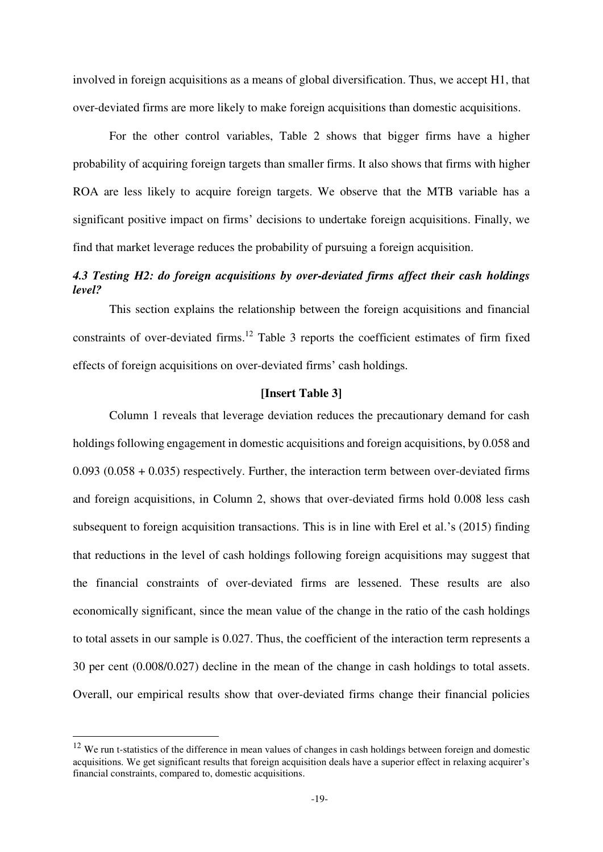involved in foreign acquisitions as a means of global diversification. Thus, we accept H1, that over-deviated firms are more likely to make foreign acquisitions than domestic acquisitions.

For the other control variables, Table 2 shows that bigger firms have a higher probability of acquiring foreign targets than smaller firms. It also shows that firms with higher ROA are less likely to acquire foreign targets. We observe that the MTB variable has a significant positive impact on firms' decisions to undertake foreign acquisitions. Finally, we find that market leverage reduces the probability of pursuing a foreign acquisition.

# *4.3 Testing H2: do foreign acquisitions by over-deviated firms affect their cash holdings level?*

This section explains the relationship between the foreign acquisitions and financial constraints of over-deviated firms.<sup>12</sup> Table 3 reports the coefficient estimates of firm fixed effects of foreign acquisitions on over-deviated firms' cash holdings.

# **[Insert Table 3]**

Column 1 reveals that leverage deviation reduces the precautionary demand for cash holdings following engagement in domestic acquisitions and foreign acquisitions, by 0.058 and 0.093 (0.058 + 0.035) respectively. Further, the interaction term between over-deviated firms and foreign acquisitions, in Column 2, shows that over-deviated firms hold 0.008 less cash subsequent to foreign acquisition transactions. This is in line with Erel et al.'s (2015) finding that reductions in the level of cash holdings following foreign acquisitions may suggest that the financial constraints of over-deviated firms are lessened. These results are also economically significant, since the mean value of the change in the ratio of the cash holdings to total assets in our sample is 0.027. Thus, the coefficient of the interaction term represents a 30 per cent (0.008/0.027) decline in the mean of the change in cash holdings to total assets. Overall, our empirical results show that over-deviated firms change their financial policies

-

<sup>&</sup>lt;sup>12</sup> We run t-statistics of the difference in mean values of changes in cash holdings between foreign and domestic acquisitions. We get significant results that foreign acquisition deals have a superior effect in relaxing acquirer's financial constraints, compared to, domestic acquisitions.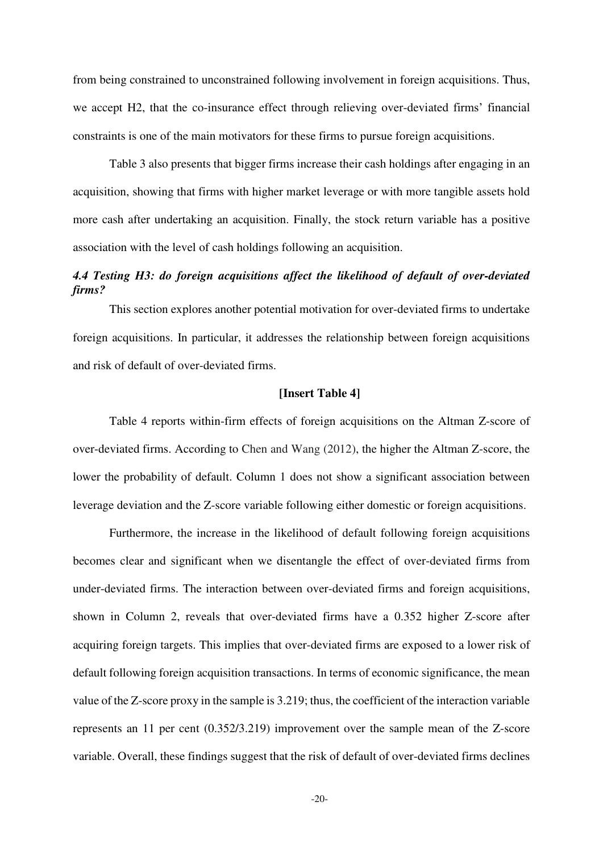from being constrained to unconstrained following involvement in foreign acquisitions. Thus, we accept H2, that the co-insurance effect through relieving over-deviated firms' financial constraints is one of the main motivators for these firms to pursue foreign acquisitions.

Table 3 also presents that bigger firms increase their cash holdings after engaging in an acquisition, showing that firms with higher market leverage or with more tangible assets hold more cash after undertaking an acquisition. Finally, the stock return variable has a positive association with the level of cash holdings following an acquisition.

# *4.4 Testing H3: do foreign acquisitions affect the likelihood of default of over-deviated firms?*

This section explores another potential motivation for over-deviated firms to undertake foreign acquisitions. In particular, it addresses the relationship between foreign acquisitions and risk of default of over-deviated firms.

# **[Insert Table 4]**

Table 4 reports within-firm effects of foreign acquisitions on the Altman Z-score of over-deviated firms. According to Chen and Wang (2012), the higher the Altman Z-score, the lower the probability of default. Column 1 does not show a significant association between leverage deviation and the Z-score variable following either domestic or foreign acquisitions.

Furthermore, the increase in the likelihood of default following foreign acquisitions becomes clear and significant when we disentangle the effect of over-deviated firms from under-deviated firms. The interaction between over-deviated firms and foreign acquisitions, shown in Column 2, reveals that over-deviated firms have a 0.352 higher Z-score after acquiring foreign targets. This implies that over-deviated firms are exposed to a lower risk of default following foreign acquisition transactions. In terms of economic significance, the mean value of the Z-score proxy in the sample is 3.219; thus, the coefficient of the interaction variable represents an 11 per cent (0.352/3.219) improvement over the sample mean of the Z-score variable. Overall, these findings suggest that the risk of default of over-deviated firms declines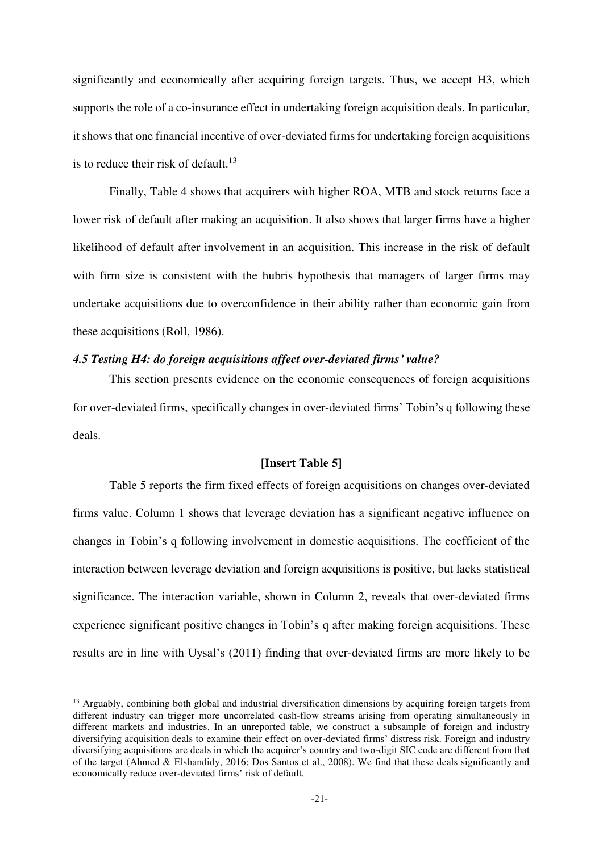significantly and economically after acquiring foreign targets. Thus, we accept H3, which supports the role of a co-insurance effect in undertaking foreign acquisition deals. In particular, it shows that one financial incentive of over-deviated firms for undertaking foreign acquisitions is to reduce their risk of default.<sup>13</sup>

Finally, Table 4 shows that acquirers with higher ROA, MTB and stock returns face a lower risk of default after making an acquisition. It also shows that larger firms have a higher likelihood of default after involvement in an acquisition. This increase in the risk of default with firm size is consistent with the hubris hypothesis that managers of larger firms may undertake acquisitions due to overconfidence in their ability rather than economic gain from these acquisitions (Roll, 1986).

# *4.5 Testing H4: do foreign acquisitions affect over-deviated firms' value?*

This section presents evidence on the economic consequences of foreign acquisitions for over-deviated firms, specifically changes in over-deviated firms' Tobin's q following these deals.

#### **[Insert Table 5]**

Table 5 reports the firm fixed effects of foreign acquisitions on changes over-deviated firms value. Column 1 shows that leverage deviation has a significant negative influence on changes in Tobin's q following involvement in domestic acquisitions. The coefficient of the interaction between leverage deviation and foreign acquisitions is positive, but lacks statistical significance. The interaction variable, shown in Column 2, reveals that over-deviated firms experience significant positive changes in Tobin's q after making foreign acquisitions. These results are in line with Uysal's (2011) finding that over-deviated firms are more likely to be

-

<sup>&</sup>lt;sup>13</sup> Arguably, combining both global and industrial diversification dimensions by acquiring foreign targets from different industry can trigger more uncorrelated cash-flow streams arising from operating simultaneously in different markets and industries. In an unreported table, we construct a subsample of foreign and industry diversifying acquisition deals to examine their effect on over-deviated firms' distress risk. Foreign and industry diversifying acquisitions are deals in which the acquirer's country and two-digit SIC code are different from that of the target (Ahmed & Elshandidy, 2016; Dos Santos et al., 2008). We find that these deals significantly and economically reduce over-deviated firms' risk of default.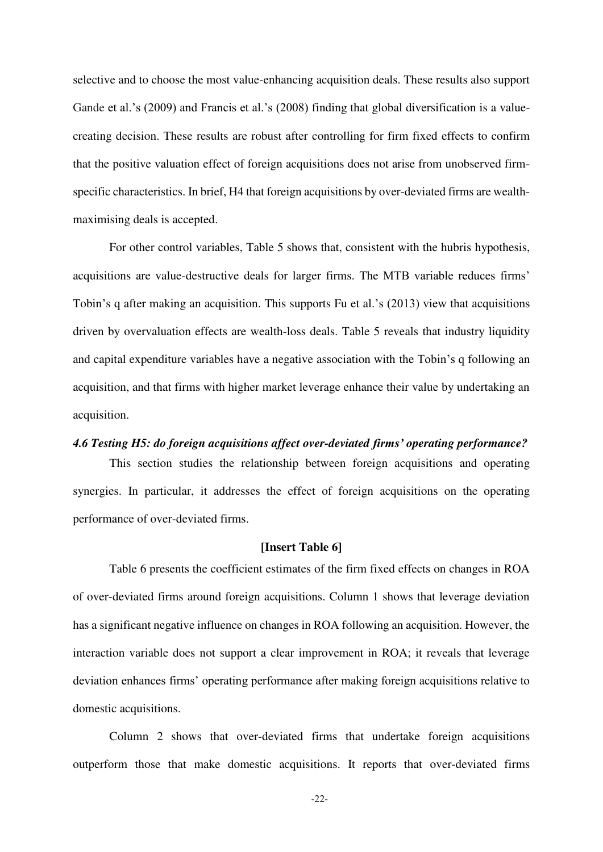selective and to choose the most value-enhancing acquisition deals. These results also support Gande et al.'s (2009) and Francis et al.'s (2008) finding that global diversification is a valuecreating decision. These results are robust after controlling for firm fixed effects to confirm that the positive valuation effect of foreign acquisitions does not arise from unobserved firmspecific characteristics. In brief, H4 that foreign acquisitions by over-deviated firms are wealthmaximising deals is accepted.

For other control variables, Table 5 shows that, consistent with the hubris hypothesis, acquisitions are value-destructive deals for larger firms. The MTB variable reduces firms' Tobin's q after making an acquisition. This supports Fu et al.'s (2013) view that acquisitions driven by overvaluation effects are wealth-loss deals. Table 5 reveals that industry liquidity and capital expenditure variables have a negative association with the Tobin's q following an acquisition, and that firms with higher market leverage enhance their value by undertaking an acquisition.

# *4.6 Testing H5: do foreign acquisitions affect over-deviated firms' operating performance?*

This section studies the relationship between foreign acquisitions and operating synergies. In particular, it addresses the effect of foreign acquisitions on the operating performance of over-deviated firms.

#### **[Insert Table 6]**

Table 6 presents the coefficient estimates of the firm fixed effects on changes in ROA of over-deviated firms around foreign acquisitions. Column 1 shows that leverage deviation has a significant negative influence on changes in ROA following an acquisition. However, the interaction variable does not support a clear improvement in ROA; it reveals that leverage deviation enhances firms' operating performance after making foreign acquisitions relative to domestic acquisitions.

Column 2 shows that over-deviated firms that undertake foreign acquisitions outperform those that make domestic acquisitions. It reports that over-deviated firms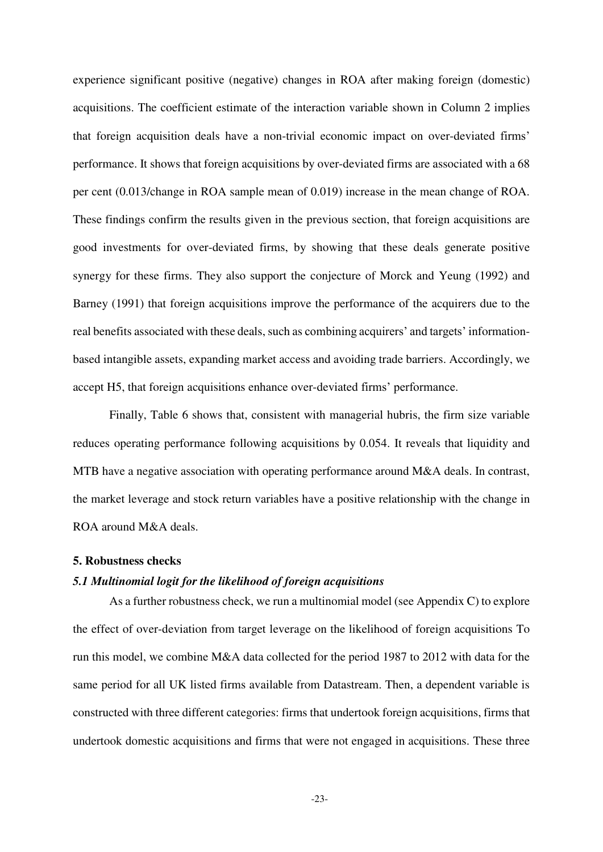experience significant positive (negative) changes in ROA after making foreign (domestic) acquisitions. The coefficient estimate of the interaction variable shown in Column 2 implies that foreign acquisition deals have a non-trivial economic impact on over-deviated firms' performance. It shows that foreign acquisitions by over-deviated firms are associated with a 68 per cent (0.013/change in ROA sample mean of 0.019) increase in the mean change of ROA. These findings confirm the results given in the previous section, that foreign acquisitions are good investments for over-deviated firms, by showing that these deals generate positive synergy for these firms. They also support the conjecture of Morck and Yeung (1992) and Barney (1991) that foreign acquisitions improve the performance of the acquirers due to the real benefits associated with these deals, such as combining acquirers' and targets' informationbased intangible assets, expanding market access and avoiding trade barriers. Accordingly, we accept H5, that foreign acquisitions enhance over-deviated firms' performance.

Finally, Table 6 shows that, consistent with managerial hubris, the firm size variable reduces operating performance following acquisitions by 0.054. It reveals that liquidity and MTB have a negative association with operating performance around M&A deals. In contrast, the market leverage and stock return variables have a positive relationship with the change in ROA around M&A deals.

## **5. Robustness checks**

# *5.1 Multinomial logit for the likelihood of foreign acquisitions*

As a further robustness check, we run a multinomial model (see Appendix C) to explore the effect of over-deviation from target leverage on the likelihood of foreign acquisitions To run this model, we combine M&A data collected for the period 1987 to 2012 with data for the same period for all UK listed firms available from Datastream. Then, a dependent variable is constructed with three different categories: firms that undertook foreign acquisitions, firms that undertook domestic acquisitions and firms that were not engaged in acquisitions. These three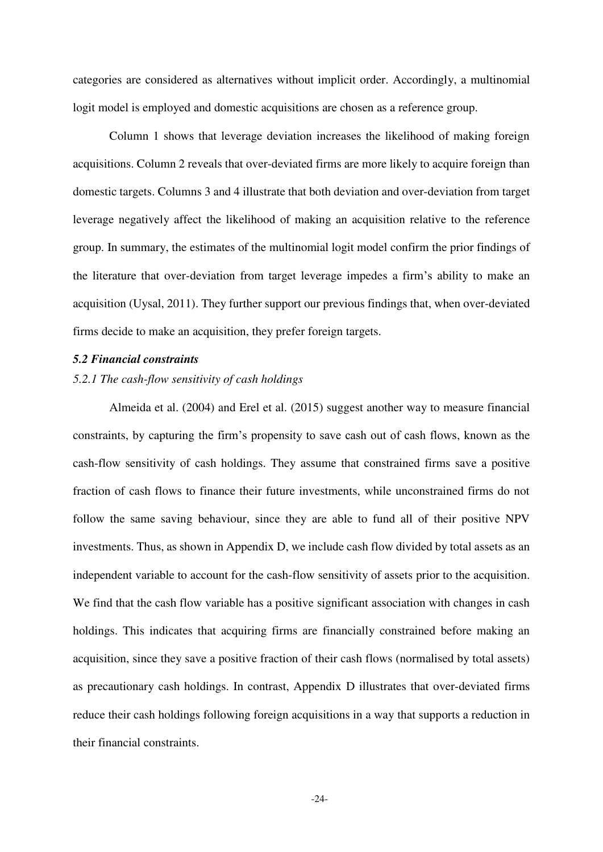categories are considered as alternatives without implicit order. Accordingly, a multinomial logit model is employed and domestic acquisitions are chosen as a reference group.

Column 1 shows that leverage deviation increases the likelihood of making foreign acquisitions. Column 2 reveals that over-deviated firms are more likely to acquire foreign than domestic targets. Columns 3 and 4 illustrate that both deviation and over-deviation from target leverage negatively affect the likelihood of making an acquisition relative to the reference group. In summary, the estimates of the multinomial logit model confirm the prior findings of the literature that over-deviation from target leverage impedes a firm's ability to make an acquisition (Uysal, 2011). They further support our previous findings that, when over-deviated firms decide to make an acquisition, they prefer foreign targets.

## *5.2 Financial constraints*

## *5.2.1 The cash-flow sensitivity of cash holdings*

Almeida et al. (2004) and Erel et al. (2015) suggest another way to measure financial constraints, by capturing the firm's propensity to save cash out of cash flows, known as the cash-flow sensitivity of cash holdings. They assume that constrained firms save a positive fraction of cash flows to finance their future investments, while unconstrained firms do not follow the same saving behaviour, since they are able to fund all of their positive NPV investments. Thus, as shown in Appendix D, we include cash flow divided by total assets as an independent variable to account for the cash-flow sensitivity of assets prior to the acquisition. We find that the cash flow variable has a positive significant association with changes in cash holdings. This indicates that acquiring firms are financially constrained before making an acquisition, since they save a positive fraction of their cash flows (normalised by total assets) as precautionary cash holdings. In contrast, Appendix D illustrates that over-deviated firms reduce their cash holdings following foreign acquisitions in a way that supports a reduction in their financial constraints.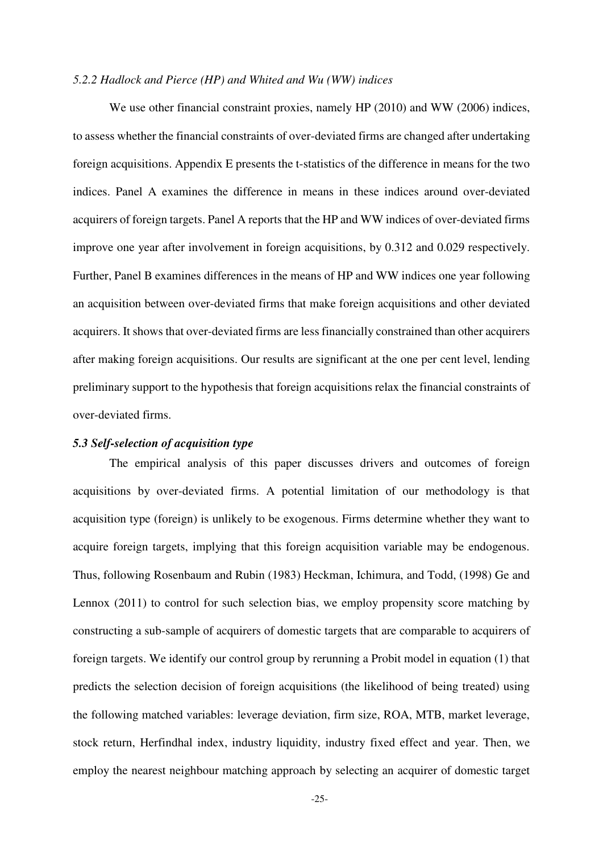### *5.2.2 Hadlock and Pierce (HP) and Whited and Wu (WW) indices*

We use other financial constraint proxies, namely HP (2010) and WW (2006) indices, to assess whether the financial constraints of over-deviated firms are changed after undertaking foreign acquisitions. Appendix E presents the t-statistics of the difference in means for the two indices. Panel A examines the difference in means in these indices around over-deviated acquirers of foreign targets. Panel A reports that the HP and WW indices of over-deviated firms improve one year after involvement in foreign acquisitions, by 0.312 and 0.029 respectively. Further, Panel B examines differences in the means of HP and WW indices one year following an acquisition between over-deviated firms that make foreign acquisitions and other deviated acquirers. It shows that over-deviated firms are less financially constrained than other acquirers after making foreign acquisitions. Our results are significant at the one per cent level, lending preliminary support to the hypothesis that foreign acquisitions relax the financial constraints of over-deviated firms.

### *5.3 Self-selection of acquisition type*

The empirical analysis of this paper discusses drivers and outcomes of foreign acquisitions by over-deviated firms. A potential limitation of our methodology is that acquisition type (foreign) is unlikely to be exogenous. Firms determine whether they want to acquire foreign targets, implying that this foreign acquisition variable may be endogenous. Thus, following Rosenbaum and Rubin (1983) Heckman, Ichimura, and Todd, (1998) Ge and Lennox (2011) to control for such selection bias, we employ propensity score matching by constructing a sub-sample of acquirers of domestic targets that are comparable to acquirers of foreign targets. We identify our control group by rerunning a Probit model in equation (1) that predicts the selection decision of foreign acquisitions (the likelihood of being treated) using the following matched variables: leverage deviation, firm size, ROA, MTB, market leverage, stock return, Herfindhal index, industry liquidity, industry fixed effect and year. Then, we employ the nearest neighbour matching approach by selecting an acquirer of domestic target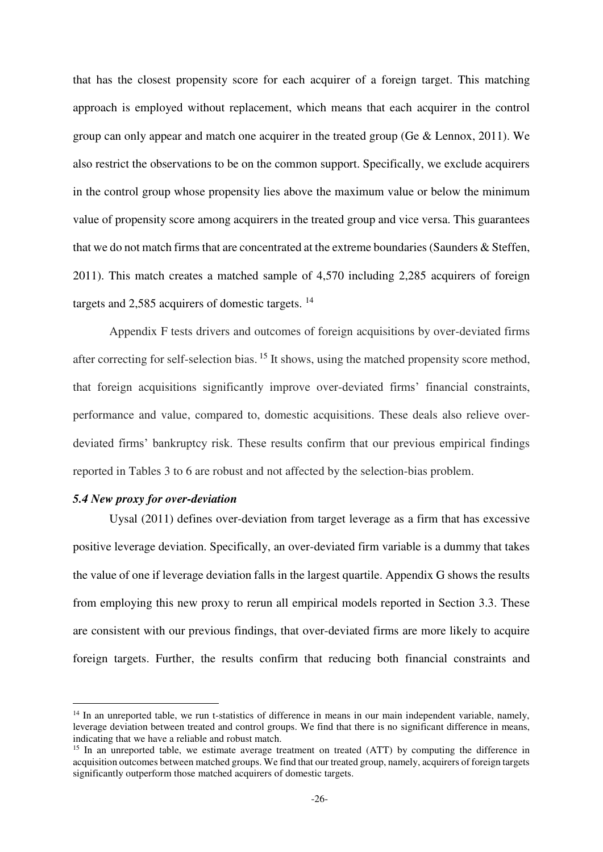that has the closest propensity score for each acquirer of a foreign target. This matching approach is employed without replacement, which means that each acquirer in the control group can only appear and match one acquirer in the treated group (Ge & Lennox, 2011). We also restrict the observations to be on the common support. Specifically, we exclude acquirers in the control group whose propensity lies above the maximum value or below the minimum value of propensity score among acquirers in the treated group and vice versa. This guarantees that we do not match firms that are concentrated at the extreme boundaries (Saunders & Steffen, 2011). This match creates a matched sample of 4,570 including 2,285 acquirers of foreign targets and 2,585 acquirers of domestic targets. <sup>14</sup>

Appendix F tests drivers and outcomes of foreign acquisitions by over-deviated firms after correcting for self-selection bias. <sup>15</sup> It shows, using the matched propensity score method, that foreign acquisitions significantly improve over-deviated firms' financial constraints, performance and value, compared to, domestic acquisitions. These deals also relieve overdeviated firms' bankruptcy risk. These results confirm that our previous empirical findings reported in Tables 3 to 6 are robust and not affected by the selection-bias problem.

# *5.4 New proxy for over-deviation*

-

Uysal (2011) defines over-deviation from target leverage as a firm that has excessive positive leverage deviation. Specifically, an over-deviated firm variable is a dummy that takes the value of one if leverage deviation falls in the largest quartile. Appendix G shows the results from employing this new proxy to rerun all empirical models reported in Section 3.3. These are consistent with our previous findings, that over-deviated firms are more likely to acquire foreign targets. Further, the results confirm that reducing both financial constraints and

<sup>&</sup>lt;sup>14</sup> In an unreported table, we run t-statistics of difference in means in our main independent variable, namely, leverage deviation between treated and control groups. We find that there is no significant difference in means, indicating that we have a reliable and robust match.

<sup>&</sup>lt;sup>15</sup> In an unreported table, we estimate average treatment on treated (ATT) by computing the difference in acquisition outcomes between matched groups. We find that our treated group, namely, acquirers of foreign targets significantly outperform those matched acquirers of domestic targets.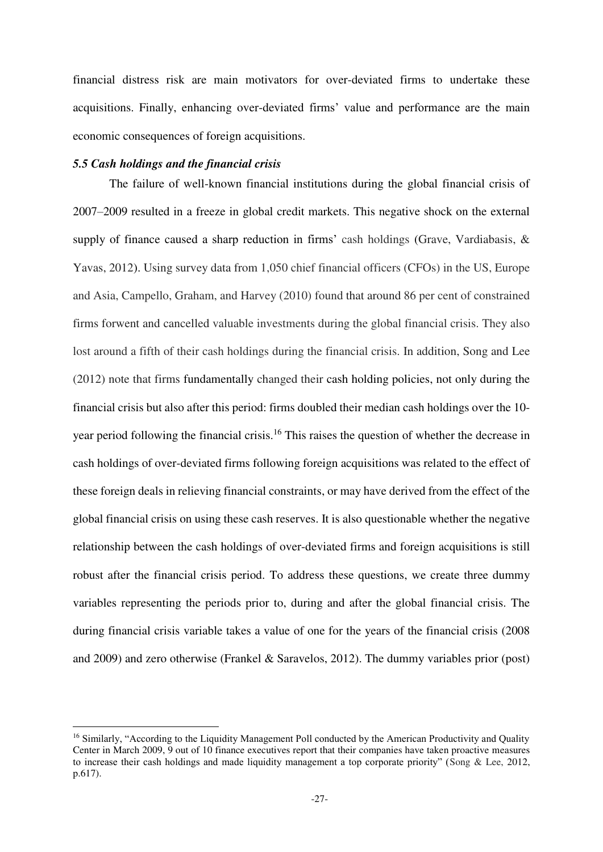financial distress risk are main motivators for over-deviated firms to undertake these acquisitions. Finally, enhancing over-deviated firms' value and performance are the main economic consequences of foreign acquisitions.

## *5.5 Cash holdings and the financial crisis*

-

The failure of well-known financial institutions during the global financial crisis of 2007–2009 resulted in a freeze in global credit markets. This negative shock on the external supply of finance caused a sharp reduction in firms' cash holdings (Grave, Vardiabasis, & Yavas, 2012). Using survey data from 1,050 chief financial officers (CFOs) in the US, Europe and Asia, Campello, Graham, and Harvey (2010) found that around 86 per cent of constrained firms forwent and cancelled valuable investments during the global financial crisis. They also lost around a fifth of their cash holdings during the financial crisis. In addition, Song and Lee (2012) note that firms fundamentally changed their cash holding policies, not only during the financial crisis but also after this period: firms doubled their median cash holdings over the 10 year period following the financial crisis.<sup>16</sup> This raises the question of whether the decrease in cash holdings of over-deviated firms following foreign acquisitions was related to the effect of these foreign deals in relieving financial constraints, or may have derived from the effect of the global financial crisis on using these cash reserves. It is also questionable whether the negative relationship between the cash holdings of over-deviated firms and foreign acquisitions is still robust after the financial crisis period. To address these questions, we create three dummy variables representing the periods prior to, during and after the global financial crisis. The during financial crisis variable takes a value of one for the years of the financial crisis (2008 and 2009) and zero otherwise (Frankel & Saravelos, 2012). The dummy variables prior (post)

<sup>&</sup>lt;sup>16</sup> Similarly, "According to the Liquidity Management Poll conducted by the American Productivity and Quality Center in March 2009, 9 out of 10 finance executives report that their companies have taken proactive measures to increase their cash holdings and made liquidity management a top corporate priority" (Song & Lee, 2012, p.617).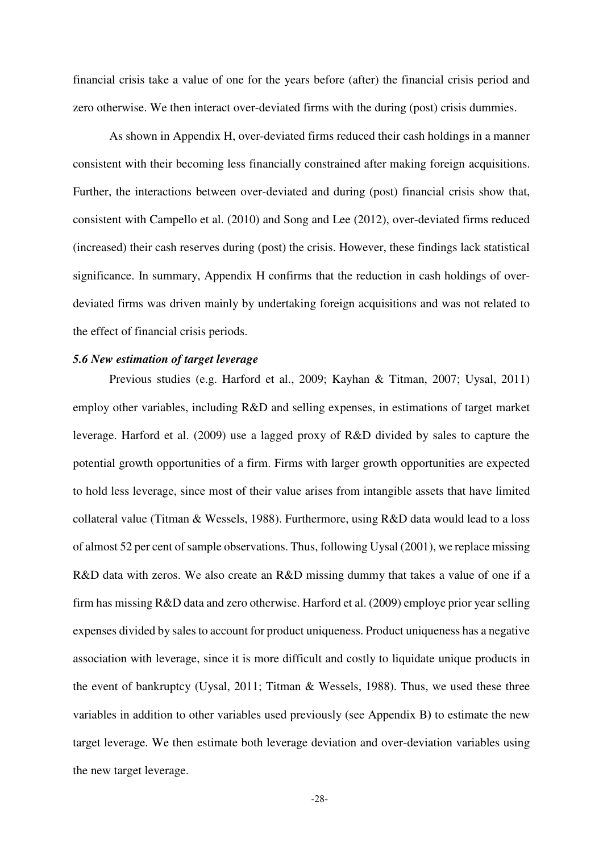financial crisis take a value of one for the years before (after) the financial crisis period and zero otherwise. We then interact over-deviated firms with the during (post) crisis dummies.

As shown in Appendix H, over-deviated firms reduced their cash holdings in a manner consistent with their becoming less financially constrained after making foreign acquisitions. Further, the interactions between over-deviated and during (post) financial crisis show that, consistent with Campello et al. (2010) and Song and Lee (2012), over-deviated firms reduced (increased) their cash reserves during (post) the crisis. However, these findings lack statistical significance. In summary, Appendix H confirms that the reduction in cash holdings of overdeviated firms was driven mainly by undertaking foreign acquisitions and was not related to the effect of financial crisis periods.

# *5.6 New estimation of target leverage*

Previous studies (e.g. Harford et al., 2009; Kayhan & Titman, 2007; Uysal, 2011) employ other variables, including R&D and selling expenses, in estimations of target market leverage. Harford et al. (2009) use a lagged proxy of R&D divided by sales to capture the potential growth opportunities of a firm. Firms with larger growth opportunities are expected to hold less leverage, since most of their value arises from intangible assets that have limited collateral value (Titman & Wessels, 1988). Furthermore, using R&D data would lead to a loss of almost 52 per cent of sample observations. Thus, following Uysal (2001), we replace missing R&D data with zeros. We also create an R&D missing dummy that takes a value of one if a firm has missing R&D data and zero otherwise. Harford et al. (2009) employe prior year selling expenses divided by sales to account for product uniqueness. Product uniqueness has a negative association with leverage, since it is more difficult and costly to liquidate unique products in the event of bankruptcy (Uysal, 2011; Titman & Wessels, 1988). Thus, we used these three variables in addition to other variables used previously (see Appendix B**)** to estimate the new target leverage. We then estimate both leverage deviation and over-deviation variables using the new target leverage.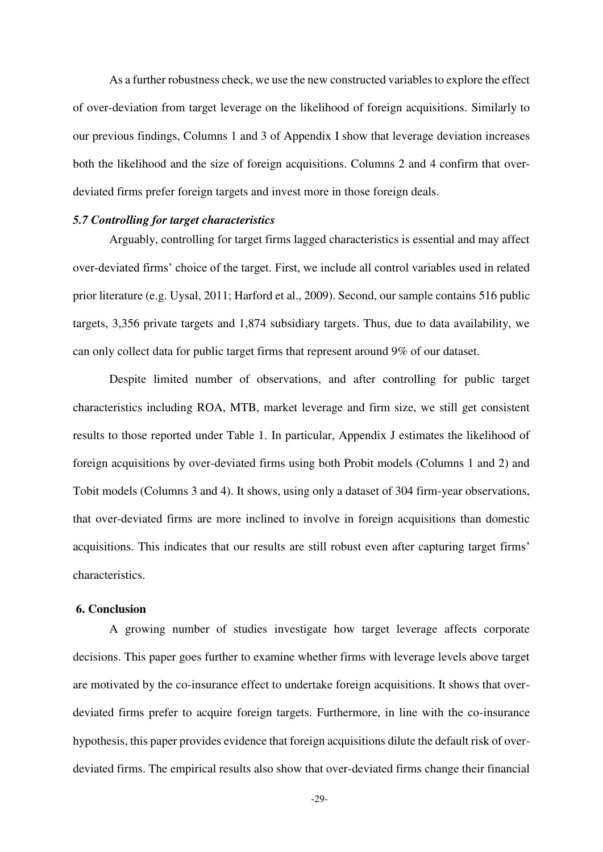As a further robustness check, we use the new constructed variables to explore the effect of over-deviation from target leverage on the likelihood of foreign acquisitions. Similarly to our previous findings, Columns 1 and 3 of Appendix I show that leverage deviation increases both the likelihood and the size of foreign acquisitions. Columns 2 and 4 confirm that overdeviated firms prefer foreign targets and invest more in those foreign deals.

# *5.7 Controlling for target characteristics*

Arguably, controlling for target firms lagged characteristics is essential and may affect over-deviated firms' choice of the target. First, we include all control variables used in related prior literature (e.g. Uysal, 2011; Harford et al., 2009). Second, our sample contains 516 public targets, 3,356 private targets and 1,874 subsidiary targets. Thus, due to data availability, we can only collect data for public target firms that represent around 9% of our dataset.

Despite limited number of observations, and after controlling for public target characteristics including ROA, MTB, market leverage and firm size, we still get consistent results to those reported under Table 1. In particular, Appendix J estimates the likelihood of foreign acquisitions by over-deviated firms using both Probit models (Columns 1 and 2) and Tobit models (Columns 3 and 4). It shows, using only a dataset of 304 firm-year observations, that over-deviated firms are more inclined to involve in foreign acquisitions than domestic acquisitions. This indicates that our results are still robust even after capturing target firms' characteristics.

#### **6. Conclusion**

A growing number of studies investigate how target leverage affects corporate decisions. This paper goes further to examine whether firms with leverage levels above target are motivated by the co-insurance effect to undertake foreign acquisitions. It shows that overdeviated firms prefer to acquire foreign targets. Furthermore, in line with the co-insurance hypothesis, this paper provides evidence that foreign acquisitions dilute the default risk of overdeviated firms. The empirical results also show that over-deviated firms change their financial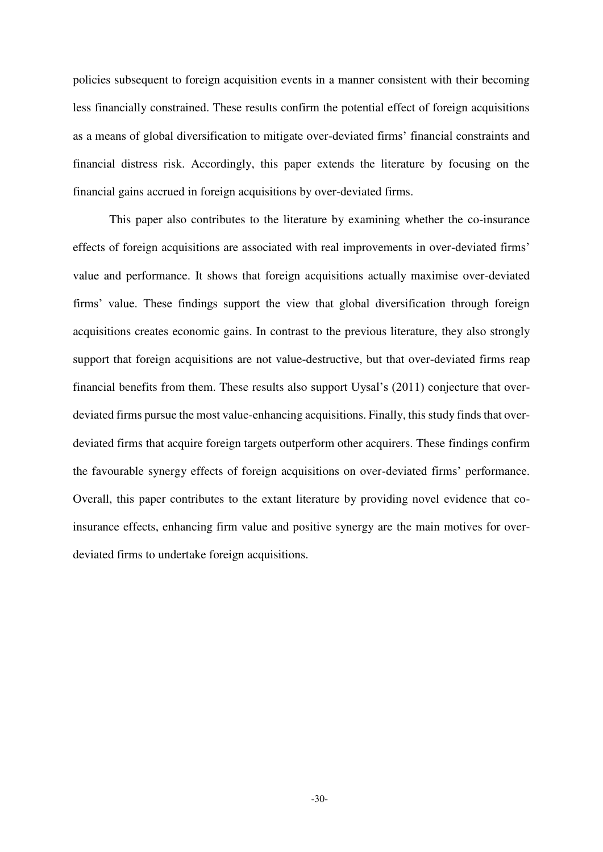policies subsequent to foreign acquisition events in a manner consistent with their becoming less financially constrained. These results confirm the potential effect of foreign acquisitions as a means of global diversification to mitigate over-deviated firms' financial constraints and financial distress risk. Accordingly, this paper extends the literature by focusing on the financial gains accrued in foreign acquisitions by over-deviated firms.

This paper also contributes to the literature by examining whether the co-insurance effects of foreign acquisitions are associated with real improvements in over-deviated firms' value and performance. It shows that foreign acquisitions actually maximise over-deviated firms' value. These findings support the view that global diversification through foreign acquisitions creates economic gains. In contrast to the previous literature, they also strongly support that foreign acquisitions are not value-destructive, but that over-deviated firms reap financial benefits from them. These results also support Uysal's (2011) conjecture that overdeviated firms pursue the most value-enhancing acquisitions. Finally, this study finds that overdeviated firms that acquire foreign targets outperform other acquirers. These findings confirm the favourable synergy effects of foreign acquisitions on over-deviated firms' performance. Overall, this paper contributes to the extant literature by providing novel evidence that coinsurance effects, enhancing firm value and positive synergy are the main motives for overdeviated firms to undertake foreign acquisitions.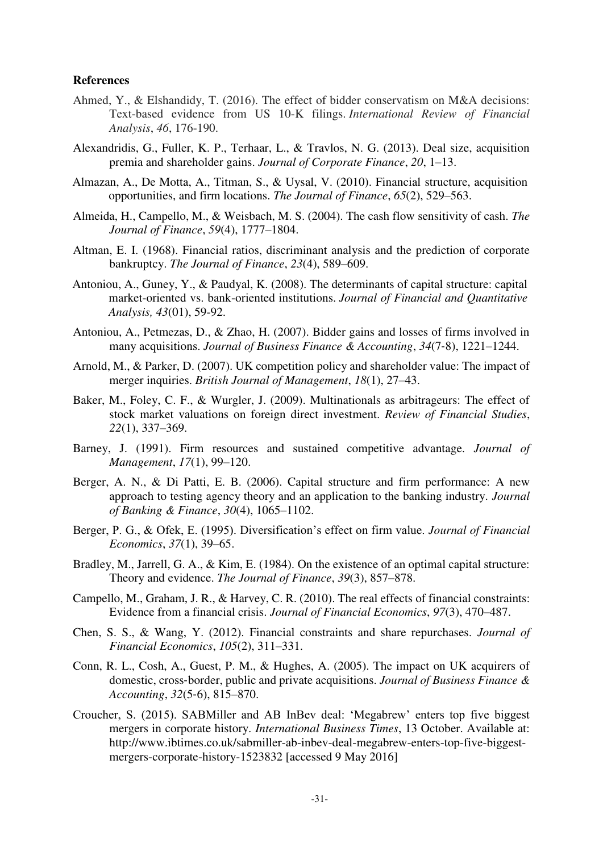## **References**

- Ahmed, Y., & Elshandidy, T. (2016). The effect of bidder conservatism on M&A decisions: Text-based evidence from US 10-K filings. *International Review of Financial Analysis*, *46*, 176-190.
- Alexandridis, G., Fuller, K. P., Terhaar, L., & Travlos, N. G. (2013). Deal size, acquisition premia and shareholder gains. *Journal of Corporate Finance*, *20*, 1–13.
- Almazan, A., De Motta, A., Titman, S., & Uysal, V. (2010). Financial structure, acquisition opportunities, and firm locations. *The Journal of Finance*, *65*(2), 529–563.
- Almeida, H., Campello, M., & Weisbach, M. S. (2004). The cash flow sensitivity of cash. *The Journal of Finance*, *59*(4), 1777–1804.
- Altman, E. I. (1968). Financial ratios, discriminant analysis and the prediction of corporate bankruptcy. *The Journal of Finance*, *23*(4), 589–609.
- Antoniou, A., Guney, Y., & Paudyal, K. (2008). The determinants of capital structure: capital market-oriented vs. bank-oriented institutions. *Journal of Financial and Quantitative Analysis, 43*(01), 59-92.
- Antoniou, A., Petmezas, D., & Zhao, H. (2007). Bidder gains and losses of firms involved in many acquisitions. *Journal of Business Finance & Accounting*, *34*(7‐8), 1221–1244.
- Arnold, M., & Parker, D. (2007). UK competition policy and shareholder value: The impact of merger inquiries. *British Journal of Management*, *18*(1), 27–43.
- Baker, M., Foley, C. F., & Wurgler, J. (2009). Multinationals as arbitrageurs: The effect of stock market valuations on foreign direct investment. *Review of Financial Studies*, *22*(1), 337–369.
- Barney, J. (1991). Firm resources and sustained competitive advantage. *Journal of Management*, *17*(1), 99–120.
- Berger, A. N., & Di Patti, E. B. (2006). Capital structure and firm performance: A new approach to testing agency theory and an application to the banking industry. *Journal of Banking & Finance*, *30*(4), 1065–1102.
- Berger, P. G., & Ofek, E. (1995). Diversification's effect on firm value. *Journal of Financial Economics*, *37*(1), 39–65.
- Bradley, M., Jarrell, G. A., & Kim, E. (1984). On the existence of an optimal capital structure: Theory and evidence. *The Journal of Finance*, *39*(3), 857–878.
- Campello, M., Graham, J. R., & Harvey, C. R. (2010). The real effects of financial constraints: Evidence from a financial crisis. *Journal of Financial Economics*, *97*(3), 470–487.
- Chen, S. S., & Wang, Y. (2012). Financial constraints and share repurchases. *Journal of Financial Economics*, *105*(2), 311–331.
- Conn, R. L., Cosh, A., Guest, P. M., & Hughes, A. (2005). The impact on UK acquirers of domestic, cross‐border, public and private acquisitions. *Journal of Business Finance & Accounting*, *32*(5‐6), 815–870.
- Croucher, S. (2015). SABMiller and AB InBev deal: 'Megabrew' enters top five biggest mergers in corporate history. *International Business Times*, 13 October. Available at: http://www.ibtimes.co.uk/sabmiller-ab-inbev-deal-megabrew-enters-top-five-biggestmergers-corporate-history-1523832 [accessed 9 May 2016]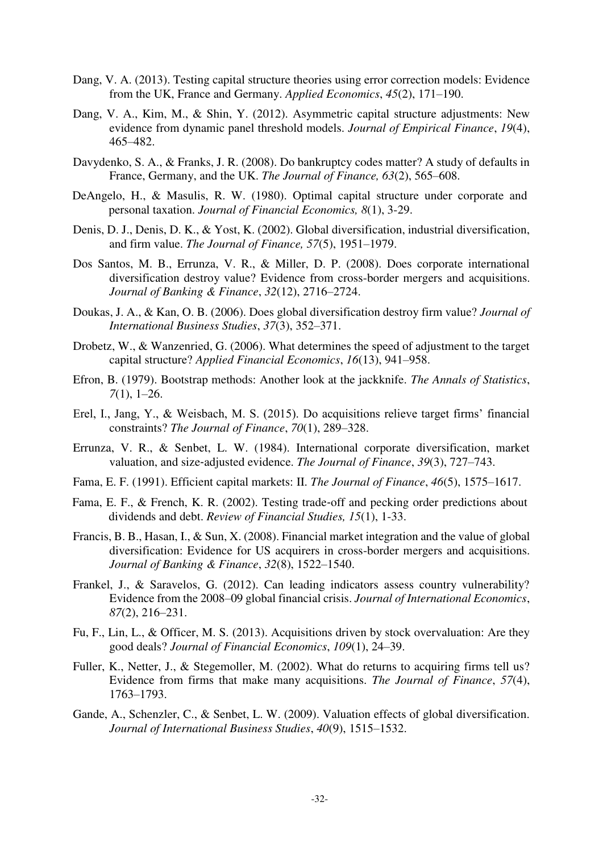- Dang, V. A. (2013). Testing capital structure theories using error correction models: Evidence from the UK, France and Germany. *Applied Economics*, *45*(2), 171–190.
- Dang, V. A., Kim, M., & Shin, Y. (2012). Asymmetric capital structure adjustments: New evidence from dynamic panel threshold models. *Journal of Empirical Finance*, *19*(4), 465–482.
- Davydenko, S. A., & Franks, J. R. (2008). Do bankruptcy codes matter? A study of defaults in France, Germany, and the UK. *The Journal of Finance, 63*(2), 565–608.
- DeAngelo, H., & Masulis, R. W. (1980). Optimal capital structure under corporate and personal taxation. *Journal of Financial Economics, 8*(1), 3-29.
- Denis, D. J., Denis, D. K., & Yost, K. (2002). Global diversification, industrial diversification, and firm value. *The Journal of Finance, 57*(5), 1951–1979.
- Dos Santos, M. B., Errunza, V. R., & Miller, D. P. (2008). Does corporate international diversification destroy value? Evidence from cross-border mergers and acquisitions. *Journal of Banking & Finance*, *32*(12), 2716–2724.
- Doukas, J. A., & Kan, O. B. (2006). Does global diversification destroy firm value? *Journal of International Business Studies*, *37*(3), 352–371.
- Drobetz, W., & Wanzenried, G. (2006). What determines the speed of adjustment to the target capital structure? *Applied Financial Economics*, *16*(13), 941–958.
- Efron, B. (1979). Bootstrap methods: Another look at the jackknife. *The Annals of Statistics*, *7*(1), 1–26.
- Erel, I., Jang, Y., & Weisbach, M. S. (2015). Do acquisitions relieve target firms' financial constraints? *The Journal of Finance*, *70*(1), 289–328.
- Errunza, V. R., & Senbet, L. W. (1984). International corporate diversification, market valuation, and size‐adjusted evidence. *The Journal of Finance*, *39*(3), 727–743.
- Fama, E. F. (1991). Efficient capital markets: II. *The Journal of Finance*, *46*(5), 1575–1617.
- Fama, E. F., & French, K. R. (2002). Testing trade‐off and pecking order predictions about dividends and debt. *Review of Financial Studies, 15*(1), 1-33.
- Francis, B. B., Hasan, I., & Sun, X. (2008). Financial market integration and the value of global diversification: Evidence for US acquirers in cross-border mergers and acquisitions. *Journal of Banking & Finance*, *32*(8), 1522–1540.
- Frankel, J., & Saravelos, G. (2012). Can leading indicators assess country vulnerability? Evidence from the 2008–09 global financial crisis. *Journal of International Economics*, *87*(2), 216–231.
- Fu, F., Lin, L., & Officer, M. S. (2013). Acquisitions driven by stock overvaluation: Are they good deals? *Journal of Financial Economics*, *109*(1), 24–39.
- Fuller, K., Netter, J., & Stegemoller, M. (2002). What do returns to acquiring firms tell us? Evidence from firms that make many acquisitions. *The Journal of Finance*, *57*(4), 1763–1793.
- Gande, A., Schenzler, C., & Senbet, L. W. (2009). Valuation effects of global diversification. *Journal of International Business Studies*, *40*(9), 1515–1532.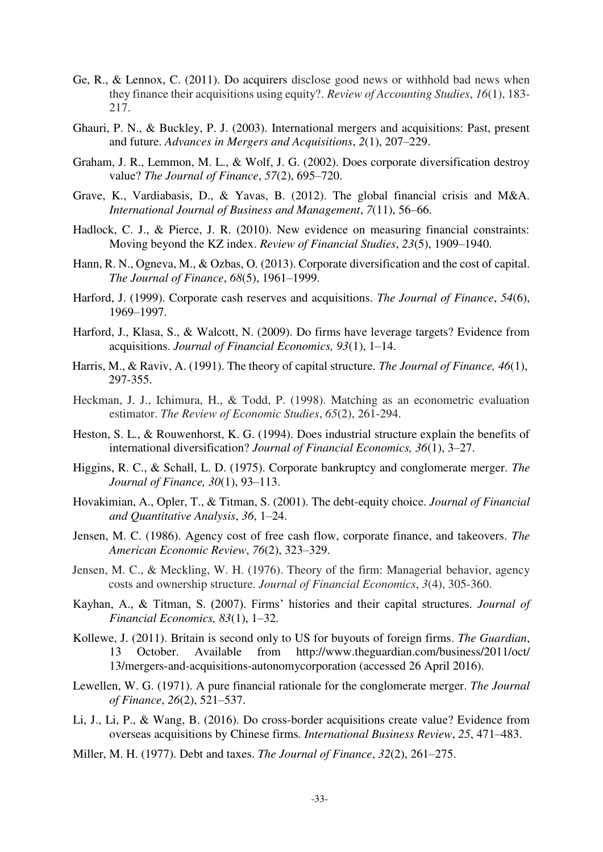- Ge, R., & Lennox, C. (2011). Do acquirers disclose good news or withhold bad news when they finance their acquisitions using equity?. *Review of Accounting Studies*, *16*(1), 183- 217.
- Ghauri, P. N., & Buckley, P. J. (2003). International mergers and acquisitions: Past, present and future. *Advances in Mergers and Acquisitions*, *2*(1), 207–229.
- Graham, J. R., Lemmon, M. L., & Wolf, J. G. (2002). Does corporate diversification destroy value? *The Journal of Finance*, *57*(2), 695–720.
- Grave, K., Vardiabasis, D., & Yavas, B. (2012). The global financial crisis and M&A. *International Journal of Business and Management*, *7*(11), 56–66.
- Hadlock, C. J., & Pierce, J. R. (2010). New evidence on measuring financial constraints: Moving beyond the KZ index. *Review of Financial Studies*, *23*(5), 1909–1940.
- Hann, R. N., Ogneva, M., & Ozbas, O. (2013). Corporate diversification and the cost of capital. *The Journal of Finance*, *68*(5), 1961–1999.
- Harford, J. (1999). Corporate cash reserves and acquisitions. *The Journal of Finance*, *54*(6), 1969–1997.
- Harford, J., Klasa, S., & Walcott, N. (2009). Do firms have leverage targets? Evidence from acquisitions. *Journal of Financial Economics, 93*(1), 1–14.
- Harris, M., & Raviv, A. (1991). The theory of capital structure. *The Journal of Finance, 46*(1), 297-355.
- Heckman, J. J., Ichimura, H., & Todd, P. (1998). Matching as an econometric evaluation estimator. *The Review of Economic Studies*, *65*(2), 261-294.
- Heston, S. L., & Rouwenhorst, K. G. (1994). Does industrial structure explain the benefits of international diversification? *Journal of Financial Economics, 36*(1), 3–27.
- Higgins, R. C., & Schall, L. D. (1975). Corporate bankruptcy and conglomerate merger. *The Journal of Finance, 30*(1), 93–113.
- Hovakimian, A., Opler, T., & Titman, S. (2001). The debt-equity choice. *Journal of Financial and Quantitative Analysis*, *36*, 1–24.
- Jensen, M. C. (1986). Agency cost of free cash flow, corporate finance, and takeovers. *The American Economic Review*, *76*(2), 323–329.
- Jensen, M. C., & Meckling, W. H. (1976). Theory of the firm: Managerial behavior, agency costs and ownership structure. *Journal of Financial Economics*, *3*(4), 305-360.
- Kayhan, A., & Titman, S. (2007). Firms' histories and their capital structures. *Journal of Financial Economics, 83*(1), 1–32.
- Kollewe, J. (2011). Britain is second only to US for buyouts of foreign firms. *The Guardian*, 13 October. Available from http://www.theguardian.com/business/2011/oct/ 13/mergers-and-acquisitions-autonomycorporation (accessed 26 April 2016).
- Lewellen, W. G. (1971). A pure financial rationale for the conglomerate merger. *The Journal of Finance*, *26*(2), 521–537.
- Li, J., Li, P., & Wang, B. (2016). Do cross-border acquisitions create value? Evidence from overseas acquisitions by Chinese firms*. International Business Review*, *25*, 471–483.
- Miller, M. H. (1977). Debt and taxes. *The Journal of Finance*, *32*(2), 261–275.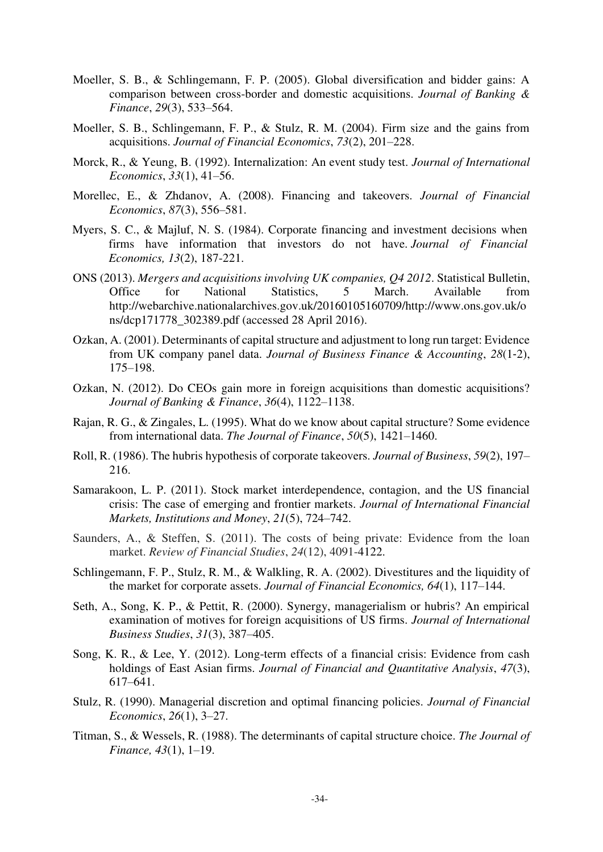- Moeller, S. B., & Schlingemann, F. P. (2005). Global diversification and bidder gains: A comparison between cross-border and domestic acquisitions. *Journal of Banking & Finance*, *29*(3), 533–564.
- Moeller, S. B., Schlingemann, F. P., & Stulz, R. M. (2004). Firm size and the gains from acquisitions. *Journal of Financial Economics*, *73*(2), 201–228.
- Morck, R., & Yeung, B. (1992). Internalization: An event study test. *Journal of International Economics*, *33*(1), 41–56.
- Morellec, E., & Zhdanov, A. (2008). Financing and takeovers. *Journal of Financial Economics*, *87*(3), 556–581.
- Myers, S. C., & Majluf, N. S. (1984). Corporate financing and investment decisions when firms have information that investors do not have. *Journal of Financial Economics, 13*(2), 187-221.
- ONS (2013). *Mergers and acquisitions involving UK companies, Q4 2012*. Statistical Bulletin, Office for National Statistics, 5 March. Available from http://webarchive.nationalarchives.gov.uk/20160105160709/http://www.ons.gov.uk/o ns/dcp171778\_302389.pdf (accessed 28 April 2016).
- Ozkan, A. (2001). Determinants of capital structure and adjustment to long run target: Evidence from UK company panel data. *Journal of Business Finance & Accounting*, *28*(1‐2), 175–198.
- Ozkan, N. (2012). Do CEOs gain more in foreign acquisitions than domestic acquisitions? *Journal of Banking & Finance*, *36*(4), 1122–1138.
- Rajan, R. G., & Zingales, L. (1995). What do we know about capital structure? Some evidence from international data. *The Journal of Finance*, *50*(5), 1421–1460.
- Roll, R. (1986). The hubris hypothesis of corporate takeovers. *Journal of Business*, *59*(2), 197– 216.
- Samarakoon, L. P. (2011). Stock market interdependence, contagion, and the US financial crisis: The case of emerging and frontier markets. *Journal of International Financial Markets, Institutions and Money*, *21*(5), 724–742.
- Saunders, A., & Steffen, S. (2011). The costs of being private: Evidence from the loan market. *Review of Financial Studies*, *24*(12), 4091-4122.
- Schlingemann, F. P., Stulz, R. M., & Walkling, R. A. (2002). Divestitures and the liquidity of the market for corporate assets. *Journal of Financial Economics, 64*(1), 117–144.
- Seth, A., Song, K. P., & Pettit, R. (2000). Synergy, managerialism or hubris? An empirical examination of motives for foreign acquisitions of US firms. *Journal of International Business Studies*, *31*(3), 387–405.
- Song, K. R., & Lee, Y. (2012). Long-term effects of a financial crisis: Evidence from cash holdings of East Asian firms. *Journal of Financial and Quantitative Analysis*, *47*(3), 617–641.
- Stulz, R. (1990). Managerial discretion and optimal financing policies. *Journal of Financial Economics*, *26*(1), 3–27.
- Titman, S., & Wessels, R. (1988). The determinants of capital structure choice. *The Journal of Finance, 43*(1), 1–19.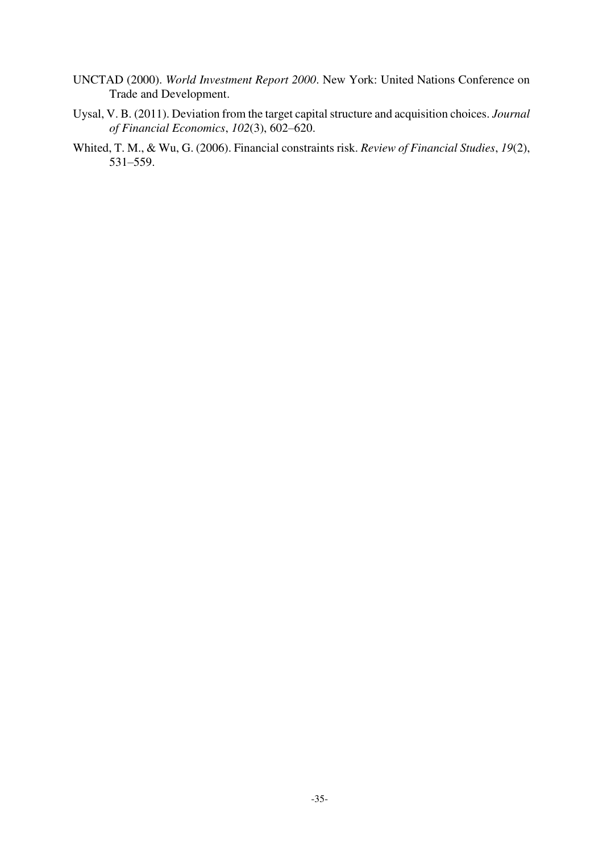- UNCTAD (2000). *World Investment Report 2000*. New York: United Nations Conference on Trade and Development.
- Uysal, V. B. (2011). Deviation from the target capital structure and acquisition choices. *Journal of Financial Economics*, *102*(3), 602–620.
- Whited, T. M., & Wu, G. (2006). Financial constraints risk. *Review of Financial Studies*, *19*(2), 531–559.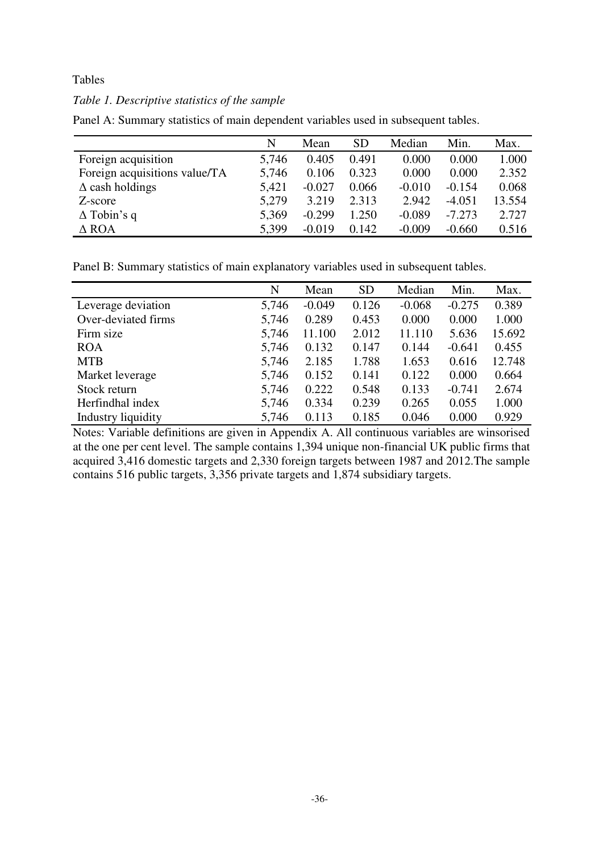# Tables

# *Table 1. Descriptive statistics of the sample*

|                               | N     | Mean     | <b>SD</b> | Median   | Min.     | Max.   |
|-------------------------------|-------|----------|-----------|----------|----------|--------|
| Foreign acquisition           | 5,746 | 0.405    | 0.491     | 0.000    | 0.000    | 1.000  |
| Foreign acquisitions value/TA | 5,746 | 0.106    | 0.323     | 0.000    | 0.000    | 2.352  |
| $\Delta$ cash holdings        | 5,421 | $-0.027$ | 0.066     | $-0.010$ | $-0.154$ | 0.068  |
| Z-score                       | 5,279 | 3.219    | 2.313     | 2.942    | $-4.051$ | 13.554 |
| $\Delta$ Tobin's q            | 5,369 | $-0.299$ | 1.250     | $-0.089$ | $-7.273$ | 2.727  |
| $\triangle$ ROA               | 5,399 | $-0.019$ | 0.142     | $-0.009$ | $-0.660$ | 0.516  |

Panel A: Summary statistics of main dependent variables used in subsequent tables.

Panel B: Summary statistics of main explanatory variables used in subsequent tables.

|                     | N     | Mean     | <b>SD</b> | Median   | Min.     | Max.   |
|---------------------|-------|----------|-----------|----------|----------|--------|
| Leverage deviation  | 5,746 | $-0.049$ | 0.126     | $-0.068$ | $-0.275$ | 0.389  |
| Over-deviated firms | 5,746 | 0.289    | 0.453     | 0.000    | 0.000    | 1.000  |
| Firm size           | 5,746 | 11.100   | 2.012     | 11.110   | 5.636    | 15.692 |
| <b>ROA</b>          | 5,746 | 0.132    | 0.147     | 0.144    | $-0.641$ | 0.455  |
| <b>MTB</b>          | 5,746 | 2.185    | 1.788     | 1.653    | 0.616    | 12.748 |
| Market leverage     | 5,746 | 0.152    | 0.141     | 0.122    | 0.000    | 0.664  |
| Stock return        | 5,746 | 0.222    | 0.548     | 0.133    | $-0.741$ | 2.674  |
| Herfindhal index    | 5,746 | 0.334    | 0.239     | 0.265    | 0.055    | 1.000  |
| Industry liquidity  | 5,746 | 0.113    | 0.185     | 0.046    | 0.000    | 0.929  |

Notes: Variable definitions are given in Appendix A. All continuous variables are winsorised at the one per cent level. The sample contains 1,394 unique non-financial UK public firms that acquired 3,416 domestic targets and 2,330 foreign targets between 1987 and 2012.The sample contains 516 public targets, 3,356 private targets and 1,874 subsidiary targets.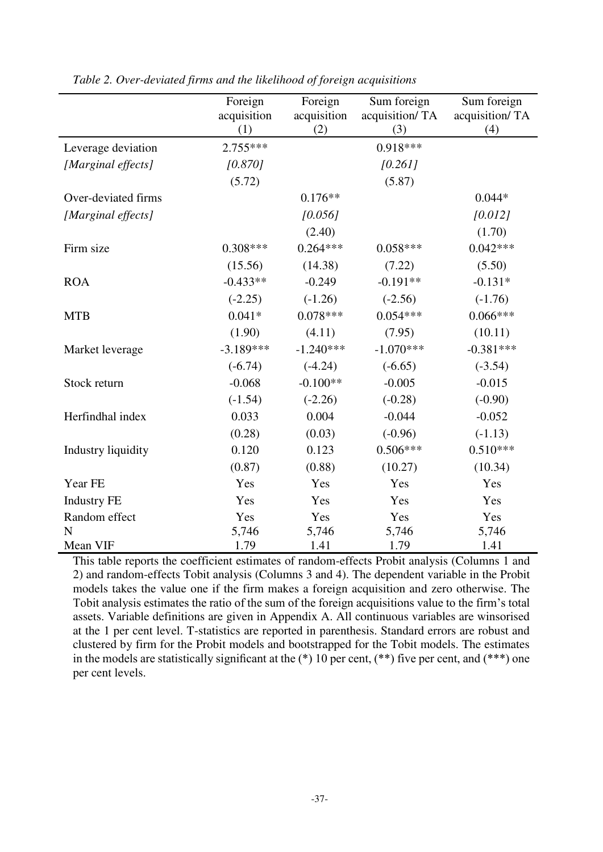|                           | Foreign     | Foreign     | Sum foreign    | Sum foreign    |
|---------------------------|-------------|-------------|----------------|----------------|
|                           | acquisition | acquisition | acquisition/TA | acquisition/TA |
|                           | (1)         | (2)         | (3)            | (4)            |
| Leverage deviation        | $2.755***$  |             | $0.918***$     |                |
| [Marginal effects]        | [0.870]     |             | [0.261]        |                |
|                           | (5.72)      |             | (5.87)         |                |
| Over-deviated firms       |             | $0.176**$   |                | $0.044*$       |
| [Marginal effects]        |             | [0.056]     |                | [0.012]        |
|                           |             | (2.40)      |                | (1.70)         |
| Firm size                 | $0.308***$  | $0.264***$  | $0.058***$     | $0.042***$     |
|                           | (15.56)     | (14.38)     | (7.22)         | (5.50)         |
| <b>ROA</b>                | $-0.433**$  | $-0.249$    | $-0.191**$     | $-0.131*$      |
|                           | $(-2.25)$   | $(-1.26)$   | $(-2.56)$      | $(-1.76)$      |
| <b>MTB</b>                | $0.041*$    | $0.078***$  | $0.054***$     | $0.066***$     |
|                           | (1.90)      | (4.11)      | (7.95)         | (10.11)        |
| Market leverage           | $-3.189***$ | $-1.240***$ | $-1.070***$    | $-0.381***$    |
|                           | $(-6.74)$   | $(-4.24)$   | $(-6.65)$      | $(-3.54)$      |
| Stock return              | $-0.068$    | $-0.100**$  | $-0.005$       | $-0.015$       |
|                           | $(-1.54)$   | $(-2.26)$   | $(-0.28)$      | $(-0.90)$      |
| Herfindhal index          | 0.033       | 0.004       | $-0.044$       | $-0.052$       |
|                           | (0.28)      | (0.03)      | $(-0.96)$      | $(-1.13)$      |
| <b>Industry liquidity</b> | 0.120       | 0.123       | $0.506***$     | $0.510***$     |
|                           | (0.87)      | (0.88)      | (10.27)        | (10.34)        |
| Year FE                   | Yes         | Yes         | Yes            | Yes            |
| <b>Industry FE</b>        | Yes         | Yes         | Yes            | Yes            |
| Random effect             | Yes         | Yes         | Yes            | Yes            |
| N                         | 5,746       | 5,746       | 5,746          | 5,746          |
| Mean VIF                  | 1.79        | 1.41        | 1.79           | 1.41           |

*Table 2. Over-deviated firms and the likelihood of foreign acquisitions* 

This table reports the coefficient estimates of random-effects Probit analysis (Columns 1 and 2) and random-effects Tobit analysis (Columns 3 and 4). The dependent variable in the Probit models takes the value one if the firm makes a foreign acquisition and zero otherwise. The Tobit analysis estimates the ratio of the sum of the foreign acquisitions value to the firm's total assets. Variable definitions are given in Appendix A. All continuous variables are winsorised at the 1 per cent level. T-statistics are reported in parenthesis. Standard errors are robust and clustered by firm for the Probit models and bootstrapped for the Tobit models. The estimates in the models are statistically significant at the  $(*)$  10 per cent,  $(**)$  five per cent, and  $(***)$  one per cent levels.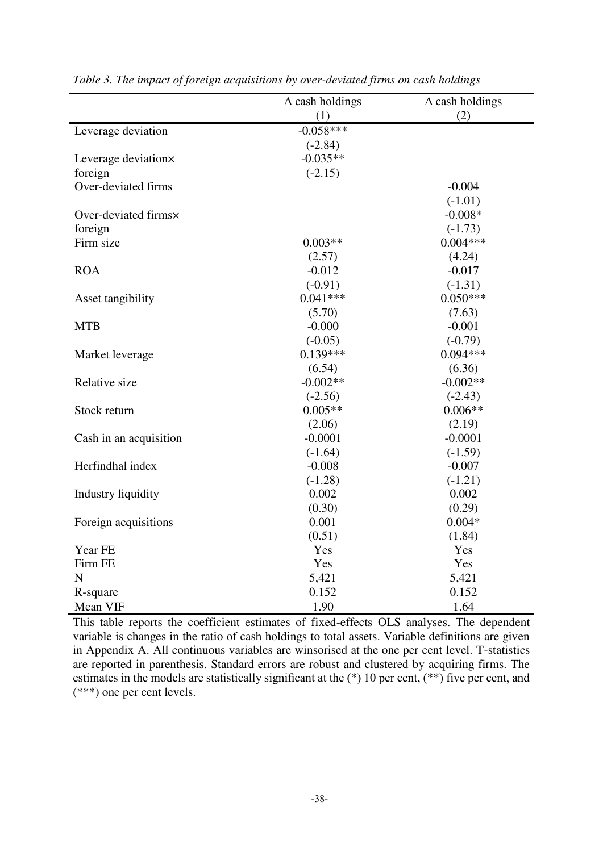|                        | $\Delta$ cash holdings | $\Delta$ cash holdings |
|------------------------|------------------------|------------------------|
|                        | (1)                    | (2)                    |
| Leverage deviation     | $-0.058***$            |                        |
|                        | $(-2.84)$              |                        |
| Leverage deviation×    | $-0.035**$             |                        |
| foreign                | $(-2.15)$              |                        |
| Over-deviated firms    |                        | $-0.004$               |
|                        |                        | $(-1.01)$              |
| Over-deviated firms×   |                        | $-0.008*$              |
| foreign                |                        | $(-1.73)$              |
| Firm size              | $0.003**$              | $0.004***$             |
|                        | (2.57)                 | (4.24)                 |
| <b>ROA</b>             | $-0.012$               | $-0.017$               |
|                        | $(-0.91)$              | $(-1.31)$              |
| Asset tangibility      | $0.041***$             | $0.050***$             |
|                        | (5.70)                 | (7.63)                 |
| <b>MTB</b>             | $-0.000$               | $-0.001$               |
|                        | $(-0.05)$              | $(-0.79)$              |
| Market leverage        | $0.139***$             | $0.094***$             |
|                        | (6.54)                 | (6.36)                 |
| Relative size          | $-0.002**$             | $-0.002**$             |
|                        | $(-2.56)$              | $(-2.43)$              |
| Stock return           | $0.005**$              | $0.006**$              |
|                        | (2.06)                 | (2.19)                 |
| Cash in an acquisition | $-0.0001$              | $-0.0001$              |
|                        | $(-1.64)$              | $(-1.59)$              |
| Herfindhal index       | $-0.008$               | $-0.007$               |
|                        | $(-1.28)$              | $(-1.21)$              |
| Industry liquidity     | 0.002                  | 0.002                  |
|                        | (0.30)                 | (0.29)                 |
| Foreign acquisitions   | 0.001                  | $0.004*$               |
|                        | (0.51)                 | (1.84)                 |
| Year FE                | Yes                    | Yes                    |
| Firm FE                | Yes                    | Yes                    |
| $\mathbf N$            | 5,421                  | 5,421                  |
| R-square               | 0.152                  | 0.152                  |
| Mean VIF               | 1.90                   | 1.64                   |

| Table 3. The impact of foreign acquisitions by over-deviated firms on cash holdings |  |  |
|-------------------------------------------------------------------------------------|--|--|
|-------------------------------------------------------------------------------------|--|--|

This table reports the coefficient estimates of fixed-effects OLS analyses. The dependent variable is changes in the ratio of cash holdings to total assets. Variable definitions are given in Appendix A. All continuous variables are winsorised at the one per cent level. T-statistics are reported in parenthesis. Standard errors are robust and clustered by acquiring firms. The estimates in the models are statistically significant at the (\*) 10 per cent, (\*\*) five per cent, and (\*\*\*) one per cent levels.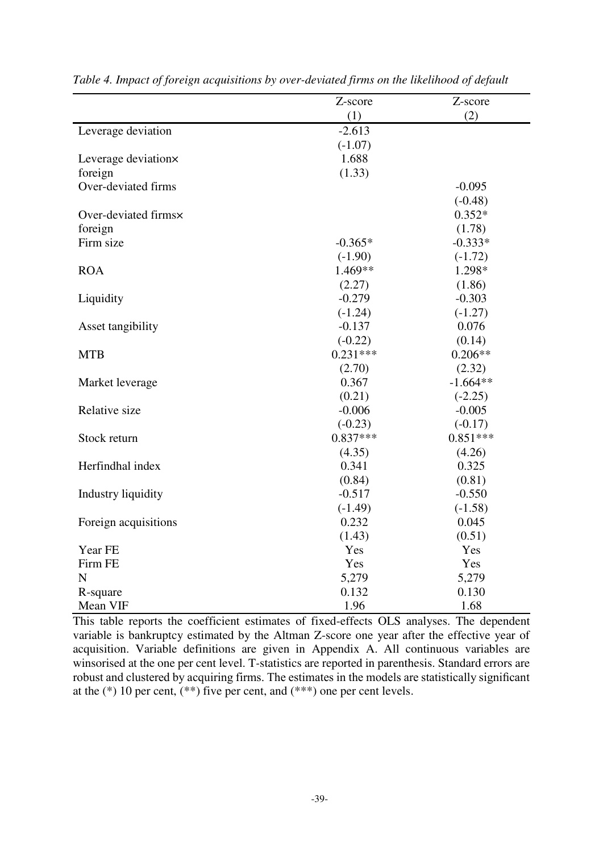|                           | Z-score    | Z-score    |
|---------------------------|------------|------------|
|                           | (1)        | (2)        |
| Leverage deviation        | $-2.613$   |            |
|                           | $(-1.07)$  |            |
| Leverage deviation×       | 1.688      |            |
| foreign                   | (1.33)     |            |
| Over-deviated firms       |            | $-0.095$   |
|                           |            | $(-0.48)$  |
| Over-deviated firms×      |            | $0.352*$   |
| foreign                   |            | (1.78)     |
| Firm size                 | $-0.365*$  | $-0.333*$  |
|                           | $(-1.90)$  | $(-1.72)$  |
| <b>ROA</b>                | 1.469**    | 1.298*     |
|                           | (2.27)     | (1.86)     |
| Liquidity                 | $-0.279$   | $-0.303$   |
|                           | $(-1.24)$  | $(-1.27)$  |
| Asset tangibility         | $-0.137$   | 0.076      |
|                           | $(-0.22)$  | (0.14)     |
| <b>MTB</b>                | $0.231***$ | $0.206**$  |
|                           | (2.70)     | (2.32)     |
| Market leverage           | 0.367      | $-1.664**$ |
|                           | (0.21)     | $(-2.25)$  |
| Relative size             | $-0.006$   | $-0.005$   |
|                           | $(-0.23)$  | $(-0.17)$  |
| Stock return              | $0.837***$ | $0.851***$ |
|                           | (4.35)     | (4.26)     |
| Herfindhal index          | 0.341      | 0.325      |
|                           | (0.84)     | (0.81)     |
| <b>Industry liquidity</b> | $-0.517$   | $-0.550$   |
|                           | $(-1.49)$  | $(-1.58)$  |
| Foreign acquisitions      | 0.232      | 0.045      |
|                           | (1.43)     | (0.51)     |
| Year FE                   | Yes        | Yes        |
| Firm FE                   | Yes        | Yes        |
| $\mathbf N$               | 5,279      | 5,279      |
| R-square                  | 0.132      | 0.130      |
| Mean VIF                  | 1.96       | 1.68       |

*Table 4. Impact of foreign acquisitions by over-deviated firms on the likelihood of default* 

This table reports the coefficient estimates of fixed-effects OLS analyses. The dependent variable is bankruptcy estimated by the Altman Z-score one year after the effective year of acquisition. Variable definitions are given in Appendix A. All continuous variables are winsorised at the one per cent level. T-statistics are reported in parenthesis. Standard errors are robust and clustered by acquiring firms. The estimates in the models are statistically significant at the  $(*)$  10 per cent,  $(**)$  five per cent, and  $(***)$  one per cent levels.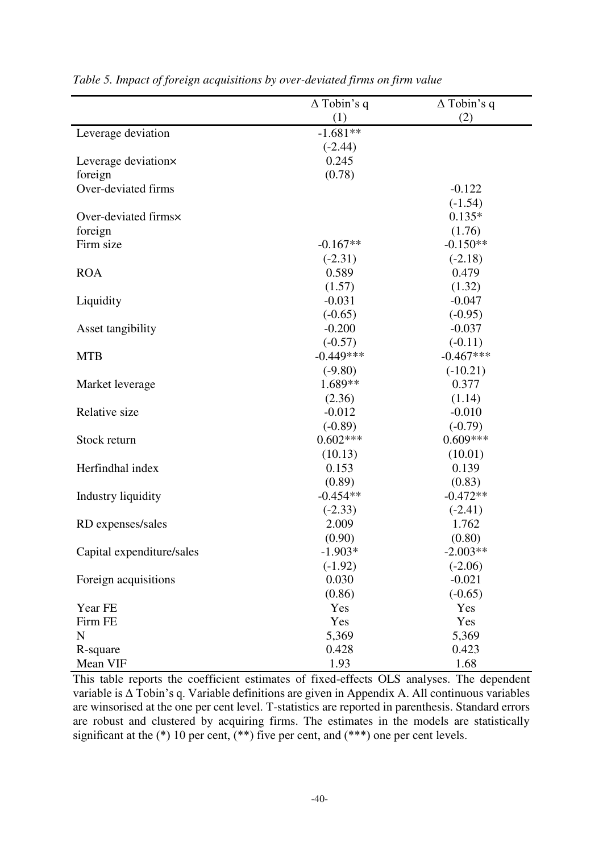|                           | $\Delta$ Tobin's q | $\Delta$ Tobin's q |
|---------------------------|--------------------|--------------------|
|                           | (1)                | (2)                |
| Leverage deviation        | $-1.681**$         |                    |
|                           | $(-2.44)$          |                    |
| Leverage deviation×       | 0.245              |                    |
| foreign                   | (0.78)             |                    |
| Over-deviated firms       |                    | $-0.122$           |
|                           |                    | $(-1.54)$          |
| Over-deviated firms×      |                    | $0.135*$           |
| foreign                   |                    | (1.76)             |
| Firm size                 | $-0.167**$         | $-0.150**$         |
|                           | $(-2.31)$          | $(-2.18)$          |
| <b>ROA</b>                | 0.589              | 0.479              |
|                           | (1.57)             | (1.32)             |
| Liquidity                 | $-0.031$           | $-0.047$           |
|                           | $(-0.65)$          | $(-0.95)$          |
| Asset tangibility         | $-0.200$           | $-0.037$           |
|                           | $(-0.57)$          | $(-0.11)$          |
| <b>MTB</b>                | $-0.449***$        | $-0.467***$        |
|                           | $(-9.80)$          | $(-10.21)$         |
| Market leverage           | 1.689**            | 0.377              |
|                           | (2.36)             | (1.14)             |
| Relative size             | $-0.012$           | $-0.010$           |
|                           | $(-0.89)$          | $(-0.79)$          |
| Stock return              | $0.602***$         | $0.609***$         |
|                           | (10.13)            | (10.01)            |
| Herfindhal index          | 0.153              | 0.139              |
|                           | (0.89)             | (0.83)             |
| Industry liquidity        | $-0.454**$         | $-0.472**$         |
|                           | $(-2.33)$          | $(-2.41)$          |
| RD expenses/sales         | 2.009              | 1.762              |
|                           | (0.90)             | (0.80)             |
| Capital expenditure/sales | $-1.903*$          | $-2.003**$         |
|                           | $(-1.92)$          | $(-2.06)$          |
| Foreign acquisitions      | 0.030              | $-0.021$           |
|                           | (0.86)             | $(-0.65)$          |
| Year FE                   | Yes                | Yes                |
| Firm FE                   | Yes                | Yes                |
| $\mathbf N$               | 5,369              | 5,369              |
| R-square                  | 0.428              | 0.423              |
| Mean VIF                  | 1.93               | 1.68               |

*Table 5. Impact of foreign acquisitions by over-deviated firms on firm value*

This table reports the coefficient estimates of fixed-effects OLS analyses. The dependent variable is Δ Tobin's q. Variable definitions are given in Appendix A. All continuous variables are winsorised at the one per cent level. T*-*statistics are reported in parenthesis. Standard errors are whispensed at the energy contribution a cumulation in the models are statistically are robust and clustered by acquiring firms. The estimates in the models are statistically significant at the  $(*)$  10 per cent,  $(**)$  five per cent, and  $(***)$  one per cent levels.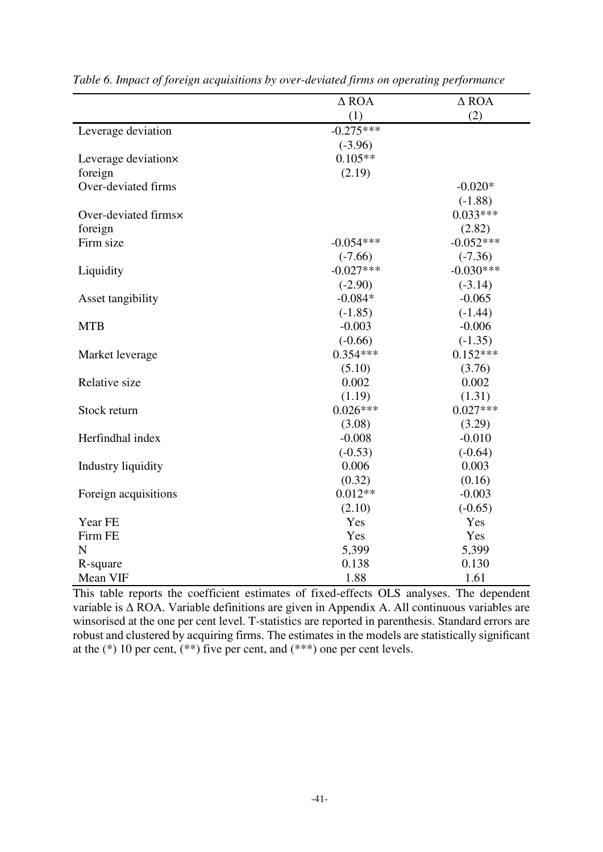|                      | $\triangle$ ROA | $\triangle$ ROA |
|----------------------|-----------------|-----------------|
|                      | (1)             | (2)             |
| Leverage deviation   | $-0.275***$     |                 |
|                      | $(-3.96)$       |                 |
| Leverage deviation×  | $0.105**$       |                 |
| foreign              | (2.19)          |                 |
| Over-deviated firms  |                 | $-0.020*$       |
|                      |                 | $(-1.88)$       |
| Over-deviated firms× |                 | $0.033***$      |
| foreign              |                 | (2.82)          |
| Firm size            | $-0.054***$     | $-0.052***$     |
|                      | $(-7.66)$       | $(-7.36)$       |
| Liquidity            | $-0.027***$     | $-0.030***$     |
|                      | $(-2.90)$       | $(-3.14)$       |
| Asset tangibility    | $-0.084*$       | $-0.065$        |
|                      | $(-1.85)$       | $(-1.44)$       |
| <b>MTB</b>           | $-0.003$        | $-0.006$        |
|                      | $(-0.66)$       | $(-1.35)$       |
| Market leverage      | $0.354***$      | $0.152***$      |
|                      | (5.10)          | (3.76)          |
| Relative size        | 0.002           | 0.002           |
|                      | (1.19)          | (1.31)          |
| Stock return         | $0.026***$      | $0.027***$      |
|                      | (3.08)          | (3.29)          |
| Herfindhal index     | $-0.008$        | $-0.010$        |
|                      | $(-0.53)$       | $(-0.64)$       |
| Industry liquidity   | 0.006           | 0.003           |
|                      | (0.32)          | (0.16)          |
| Foreign acquisitions | $0.012**$       | $-0.003$        |
|                      | (2.10)          | $(-0.65)$       |
| Year FE              | Yes             | Yes             |
| Firm FE              | Yes             | Yes             |
| N                    | 5,399           | 5,399           |
| R-square             | 0.138           | 0.130           |
| Mean VIF             | 1.88            | 1.61            |

*Table 6. Impact of foreign acquisitions by over-deviated firms on operating performance* 

This table reports the coefficient estimates of fixed-effects OLS analyses. The dependent variable is Δ ROA. Variable definitions are given in Appendix A. All continuous variables are winsorised at the one per cent level. T-statistics are reported in parenthesis. Standard errors are robust and clustered by acquiring firms. The estimates in the models are statistically significant at the  $(*)$  10 per cent,  $(**)$  five per cent, and  $(***)$  one per cent levels.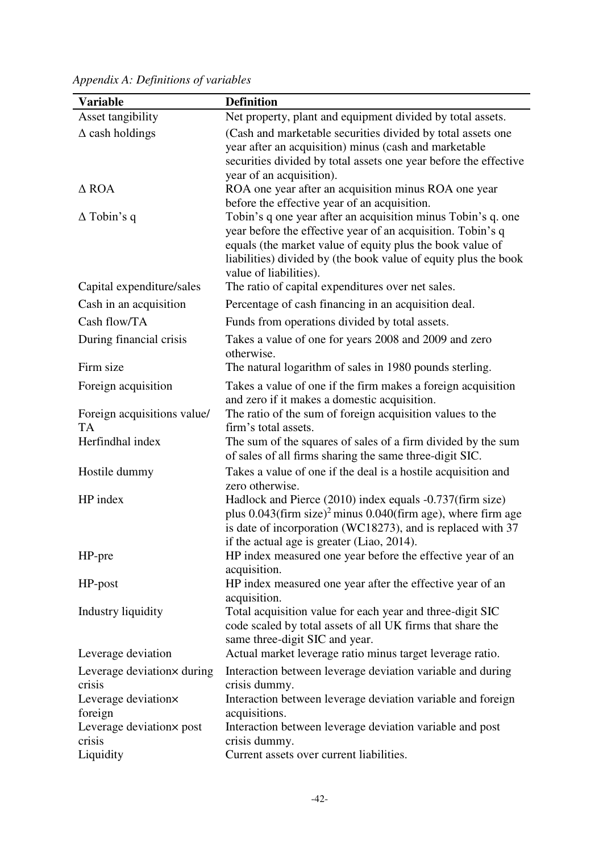| <b>Variable</b>             | <b>Definition</b>                                                                                                                             |
|-----------------------------|-----------------------------------------------------------------------------------------------------------------------------------------------|
| Asset tangibility           | Net property, plant and equipment divided by total assets.                                                                                    |
| $\Delta$ cash holdings      | (Cash and marketable securities divided by total assets one                                                                                   |
|                             | year after an acquisition) minus (cash and marketable                                                                                         |
|                             | securities divided by total assets one year before the effective                                                                              |
|                             | year of an acquisition).                                                                                                                      |
| $\triangle$ ROA             | ROA one year after an acquisition minus ROA one year                                                                                          |
|                             | before the effective year of an acquisition.                                                                                                  |
| $\Delta$ Tobin's q          | Tobin's q one year after an acquisition minus Tobin's q. one                                                                                  |
|                             | year before the effective year of an acquisition. Tobin's q                                                                                   |
|                             | equals (the market value of equity plus the book value of                                                                                     |
|                             | liabilities) divided by (the book value of equity plus the book<br>value of liabilities).                                                     |
| Capital expenditure/sales   | The ratio of capital expenditures over net sales.                                                                                             |
| Cash in an acquisition      | Percentage of cash financing in an acquisition deal.                                                                                          |
| Cash flow/TA                | Funds from operations divided by total assets.                                                                                                |
|                             |                                                                                                                                               |
| During financial crisis     | Takes a value of one for years 2008 and 2009 and zero<br>otherwise.                                                                           |
| Firm size                   | The natural logarithm of sales in 1980 pounds sterling.                                                                                       |
|                             |                                                                                                                                               |
| Foreign acquisition         | Takes a value of one if the firm makes a foreign acquisition<br>and zero if it makes a domestic acquisition.                                  |
| Foreign acquisitions value/ | The ratio of the sum of foreign acquisition values to the                                                                                     |
| <b>TA</b>                   | firm's total assets.                                                                                                                          |
| Herfindhal index            | The sum of the squares of sales of a firm divided by the sum                                                                                  |
|                             | of sales of all firms sharing the same three-digit SIC.                                                                                       |
| Hostile dummy               | Takes a value of one if the deal is a hostile acquisition and                                                                                 |
|                             | zero otherwise.                                                                                                                               |
| HP index                    | Hadlock and Pierce (2010) index equals -0.737(firm size)                                                                                      |
|                             | plus $0.043$ (firm size) <sup>2</sup> minus $0.040$ (firm age), where firm age<br>is date of incorporation (WC18273), and is replaced with 37 |
|                             | if the actual age is greater (Liao, 2014).                                                                                                    |
| HP-pre                      | HP index measured one year before the effective year of an                                                                                    |
|                             | acquisition.                                                                                                                                  |
| HP-post                     | HP index measured one year after the effective year of an                                                                                     |
|                             | acquisition.                                                                                                                                  |
| Industry liquidity          | Total acquisition value for each year and three-digit SIC                                                                                     |
|                             | code scaled by total assets of all UK firms that share the<br>same three-digit SIC and year.                                                  |
| Leverage deviation          | Actual market leverage ratio minus target leverage ratio.                                                                                     |
| Leverage deviation x during | Interaction between leverage deviation variable and during                                                                                    |
| crisis                      | crisis dummy.                                                                                                                                 |
| Leverage deviation×         | Interaction between leverage deviation variable and foreign                                                                                   |
| foreign                     | acquisitions.                                                                                                                                 |
| Leverage deviation x post   | Interaction between leverage deviation variable and post                                                                                      |
| crisis                      | crisis dummy.                                                                                                                                 |
| Liquidity                   | Current assets over current liabilities.                                                                                                      |

*Appendix A: Definitions of variables*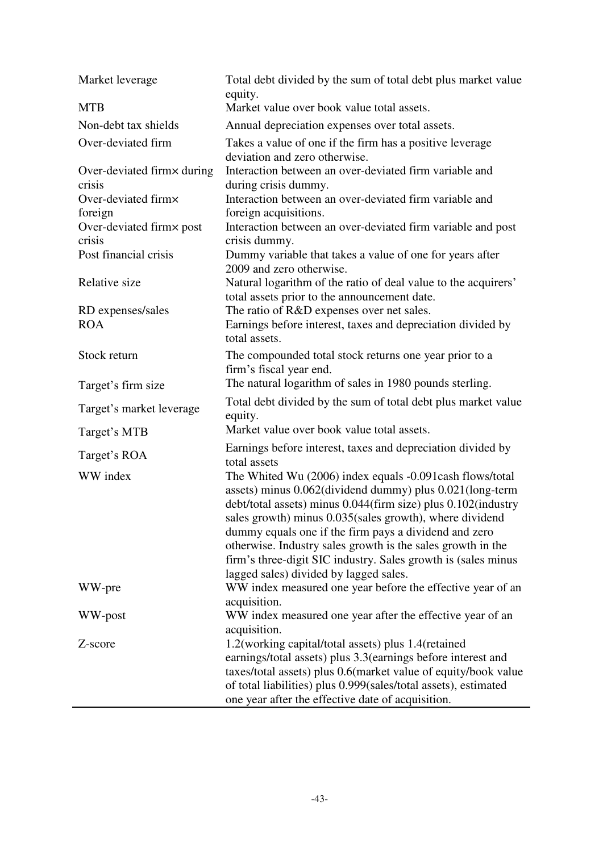| Market leverage                      | Total debt divided by the sum of total debt plus market value<br>equity.                                                                                                                                                                                                                                                                                                                                                                                                             |
|--------------------------------------|--------------------------------------------------------------------------------------------------------------------------------------------------------------------------------------------------------------------------------------------------------------------------------------------------------------------------------------------------------------------------------------------------------------------------------------------------------------------------------------|
| <b>MTB</b>                           | Market value over book value total assets.                                                                                                                                                                                                                                                                                                                                                                                                                                           |
| Non-debt tax shields                 | Annual depreciation expenses over total assets.                                                                                                                                                                                                                                                                                                                                                                                                                                      |
| Over-deviated firm                   | Takes a value of one if the firm has a positive leverage<br>deviation and zero otherwise.                                                                                                                                                                                                                                                                                                                                                                                            |
| Over-deviated firmx during<br>crisis | Interaction between an over-deviated firm variable and<br>during crisis dummy.                                                                                                                                                                                                                                                                                                                                                                                                       |
| Over-deviated firmx<br>foreign       | Interaction between an over-deviated firm variable and<br>foreign acquisitions.                                                                                                                                                                                                                                                                                                                                                                                                      |
| Over-deviated firmx post<br>crisis   | Interaction between an over-deviated firm variable and post<br>crisis dummy.                                                                                                                                                                                                                                                                                                                                                                                                         |
| Post financial crisis                | Dummy variable that takes a value of one for years after<br>2009 and zero otherwise.                                                                                                                                                                                                                                                                                                                                                                                                 |
| Relative size                        | Natural logarithm of the ratio of deal value to the acquirers'<br>total assets prior to the announcement date.                                                                                                                                                                                                                                                                                                                                                                       |
| RD expenses/sales                    | The ratio of R&D expenses over net sales.                                                                                                                                                                                                                                                                                                                                                                                                                                            |
| <b>ROA</b>                           | Earnings before interest, taxes and depreciation divided by<br>total assets.                                                                                                                                                                                                                                                                                                                                                                                                         |
| Stock return                         | The compounded total stock returns one year prior to a<br>firm's fiscal year end.                                                                                                                                                                                                                                                                                                                                                                                                    |
| Target's firm size                   | The natural logarithm of sales in 1980 pounds sterling.                                                                                                                                                                                                                                                                                                                                                                                                                              |
| Target's market leverage             | Total debt divided by the sum of total debt plus market value<br>equity.                                                                                                                                                                                                                                                                                                                                                                                                             |
| Target's MTB                         | Market value over book value total assets.                                                                                                                                                                                                                                                                                                                                                                                                                                           |
| Target's ROA                         | Earnings before interest, taxes and depreciation divided by<br>total assets                                                                                                                                                                                                                                                                                                                                                                                                          |
| WW index                             | The Whited Wu (2006) index equals -0.091 cash flows/total<br>assets) minus 0.062(dividend dummy) plus 0.021(long-term<br>debt/total assets) minus 0.044(firm size) plus 0.102(industry<br>sales growth) minus 0.035(sales growth), where dividend<br>dummy equals one if the firm pays a dividend and zero<br>otherwise. Industry sales growth is the sales growth in the<br>firm's three-digit SIC industry. Sales growth is (sales minus<br>lagged sales) divided by lagged sales. |
| WW-pre                               | WW index measured one year before the effective year of an<br>acquisition.                                                                                                                                                                                                                                                                                                                                                                                                           |
| WW-post                              | WW index measured one year after the effective year of an<br>acquisition.                                                                                                                                                                                                                                                                                                                                                                                                            |
| Z-score                              | 1.2 (working capital/total assets) plus 1.4 (retained<br>earnings/total assets) plus 3.3 (earnings before interest and<br>taxes/total assets) plus 0.6(market value of equity/book value<br>of total liabilities) plus 0.999(sales/total assets), estimated<br>one year after the effective date of acquisition.                                                                                                                                                                     |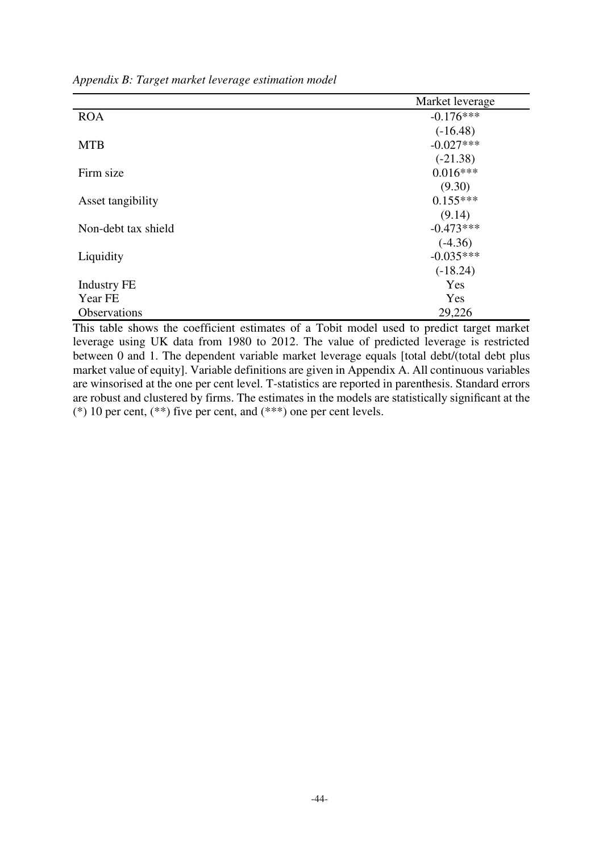*Appendix B: Target market leverage estimation model* 

|                     | Market leverage |
|---------------------|-----------------|
| <b>ROA</b>          | $-0.176***$     |
|                     | $(-16.48)$      |
| <b>MTB</b>          | $-0.027***$     |
|                     | $(-21.38)$      |
| Firm size           | $0.016***$      |
|                     | (9.30)          |
| Asset tangibility   | $0.155***$      |
|                     | (9.14)          |
| Non-debt tax shield | $-0.473***$     |
|                     | $(-4.36)$       |
| Liquidity           | $-0.035***$     |
|                     | $(-18.24)$      |
| <b>Industry FE</b>  | Yes             |
| Year FE             | Yes             |
| Observations        | 29,226          |

This table shows the coefficient estimates of a Tobit model used to predict target market leverage using UK data from 1980 to 2012. The value of predicted leverage is restricted between 0 and 1. The dependent variable market leverage equals [total debt/(total debt plus market value of equity]. Variable definitions are given in Appendix A. All continuous variables are winsorised at the one per cent level. T*-*statistics are reported in parenthesis. Standard errors are robust and clustered by firms. The estimates in the models are statistically significant at the (\*) 10 per cent,  $(**)$  five per cent, and  $(***)$  one per cent levels.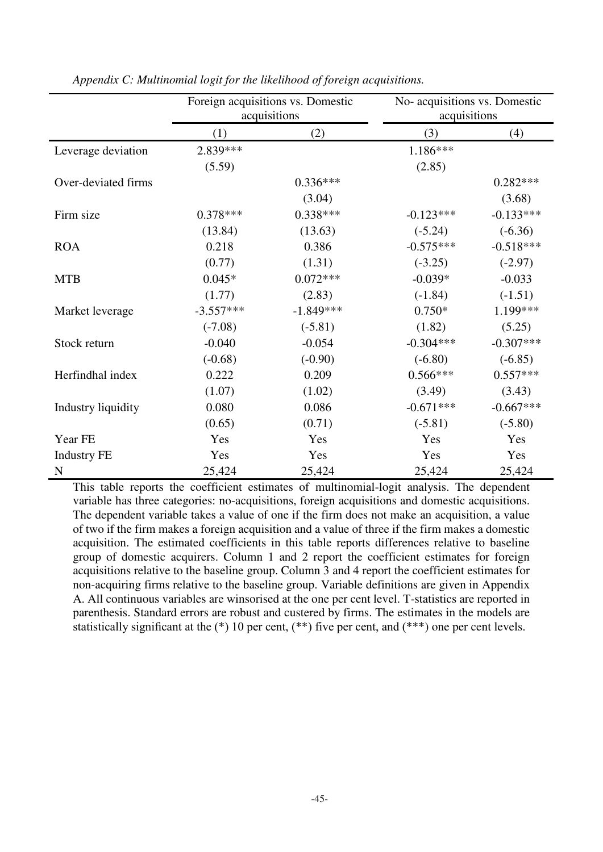|                     | Foreign acquisitions vs. Domestic<br>acquisitions |             | No- acquisitions vs. Domestic<br>acquisitions |             |
|---------------------|---------------------------------------------------|-------------|-----------------------------------------------|-------------|
|                     | (1)                                               | (2)         | (3)                                           | (4)         |
| Leverage deviation  | 2.839***                                          |             | 1.186***                                      |             |
|                     | (5.59)                                            |             | (2.85)                                        |             |
| Over-deviated firms |                                                   | $0.336***$  |                                               | $0.282***$  |
|                     |                                                   | (3.04)      |                                               | (3.68)      |
| Firm size           | $0.378***$                                        | $0.338***$  | $-0.123***$                                   | $-0.133***$ |
|                     | (13.84)                                           | (13.63)     | $(-5.24)$                                     | $(-6.36)$   |
| <b>ROA</b>          | 0.218                                             | 0.386       | $-0.575***$                                   | $-0.518***$ |
|                     | (0.77)                                            | (1.31)      | $(-3.25)$                                     | $(-2.97)$   |
| <b>MTB</b>          | $0.045*$                                          | $0.072***$  | $-0.039*$                                     | $-0.033$    |
|                     | (1.77)                                            | (2.83)      | $(-1.84)$                                     | $(-1.51)$   |
| Market leverage     | $-3.557***$                                       | $-1.849***$ | $0.750*$                                      | 1.199***    |
|                     | $(-7.08)$                                         | $(-5.81)$   | (1.82)                                        | (5.25)      |
| Stock return        | $-0.040$                                          | $-0.054$    | $-0.304***$                                   | $-0.307***$ |
|                     | $(-0.68)$                                         | $(-0.90)$   | $(-6.80)$                                     | $(-6.85)$   |
| Herfindhal index    | 0.222                                             | 0.209       | $0.566***$                                    | $0.557***$  |
|                     | (1.07)                                            | (1.02)      | (3.49)                                        | (3.43)      |
| Industry liquidity  | 0.080                                             | 0.086       | $-0.671***$                                   | $-0.667***$ |
|                     | (0.65)                                            | (0.71)      | $(-5.81)$                                     | $(-5.80)$   |
| Year FE             | Yes                                               | Yes         | Yes                                           | Yes         |
| <b>Industry FE</b>  | Yes                                               | Yes         | Yes                                           | Yes         |
| $\mathbf N$         | 25,424                                            | 25,424      | 25,424                                        | 25,424      |

*Appendix C: Multinomial logit for the likelihood of foreign acquisitions.* 

This table reports the coefficient estimates of multinomial-logit analysis. The dependent variable has three categories: no-acquisitions, foreign acquisitions and domestic acquisitions. The dependent variable takes a value of one if the firm does not make an acquisition, a value of two if the firm makes a foreign acquisition and a value of three if the firm makes a domestic acquisition. The estimated coefficients in this table reports differences relative to baseline group of domestic acquirers. Column 1 and 2 report the coefficient estimates for foreign acquisitions relative to the baseline group. Column 3 and 4 report the coefficient estimates for non-acquiring firms relative to the baseline group. Variable definitions are given in Appendix A. All continuous variables are winsorised at the one per cent level. T*-*statistics are reported in parenthesis. Standard errors are robust and custered by firms. The estimates in the models are statistically significant at the  $(*)$  10 per cent,  $(**)$  five per cent, and  $(***)$  one per cent levels.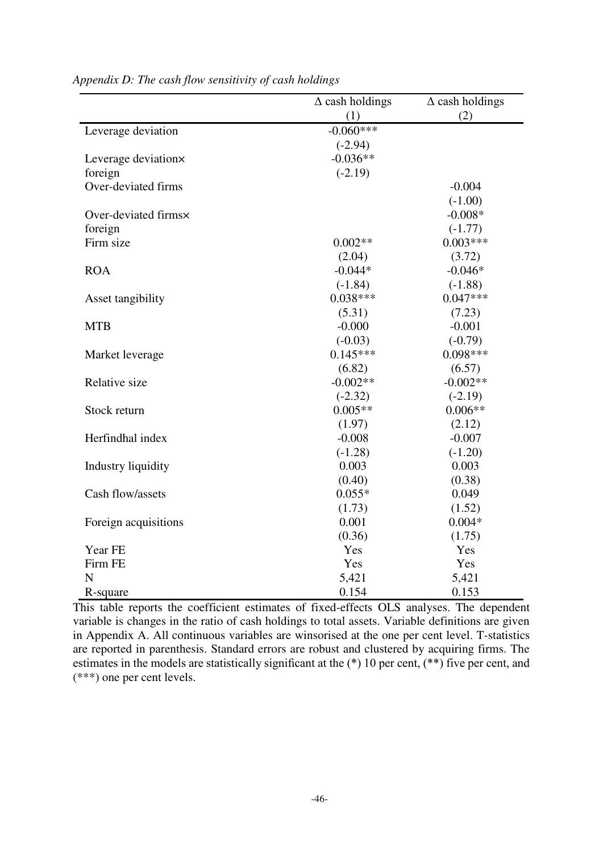|                      | $\Delta$ cash holdings | $\Delta$ cash holdings |
|----------------------|------------------------|------------------------|
|                      | (1)                    | (2)                    |
| Leverage deviation   | $-0.060***$            |                        |
|                      | $(-2.94)$              |                        |
| Leverage deviation×  | $-0.036**$             |                        |
| foreign              | $(-2.19)$              |                        |
| Over-deviated firms  |                        | $-0.004$               |
|                      |                        | $(-1.00)$              |
| Over-deviated firms× |                        | $-0.008*$              |
| foreign              |                        | $(-1.77)$              |
| Firm size            | $0.002**$              | $0.003***$             |
|                      | (2.04)                 | (3.72)                 |
| <b>ROA</b>           | $-0.044*$              | $-0.046*$              |
|                      | $(-1.84)$              | $(-1.88)$              |
| Asset tangibility    | $0.038***$             | $0.047***$             |
|                      | (5.31)                 | (7.23)                 |
| <b>MTB</b>           | $-0.000$               | $-0.001$               |
|                      | $(-0.03)$              | $(-0.79)$              |
| Market leverage      | $0.145***$             | $0.098***$             |
|                      | (6.82)                 | (6.57)                 |
| Relative size        | $-0.002**$             | $-0.002**$             |
|                      | $(-2.32)$              | $(-2.19)$              |
| Stock return         | $0.005**$              | $0.006**$              |
|                      | (1.97)                 | (2.12)                 |
| Herfindhal index     | $-0.008$               | $-0.007$               |
|                      | $(-1.28)$              | $(-1.20)$              |
| Industry liquidity   | 0.003                  | 0.003                  |
|                      | (0.40)                 | (0.38)                 |
| Cash flow/assets     | $0.055*$               | 0.049                  |
|                      | (1.73)                 | (1.52)                 |
| Foreign acquisitions | 0.001                  | $0.004*$               |
|                      | (0.36)                 | (1.75)                 |
| Year FE              | Yes                    | Yes                    |
| Firm FE              | Yes                    | Yes                    |
| $\mathbf N$          | 5,421                  | 5,421                  |
| R-square             | 0.154                  | 0.153                  |

*Appendix D: The cash flow sensitivity of cash holdings* 

This table reports the coefficient estimates of fixed-effects OLS analyses. The dependent variable is changes in the ratio of cash holdings to total assets. Variable definitions are given in Appendix A. All continuous variables are winsorised at the one per cent level. T*-*statistics are reported in parenthesis. Standard errors are robust and clustered by acquiring firms. The estimates in the models are statistically significant at the (\*) 10 per cent, (\*\*) five per cent, and (\*\*\*) one per cent levels.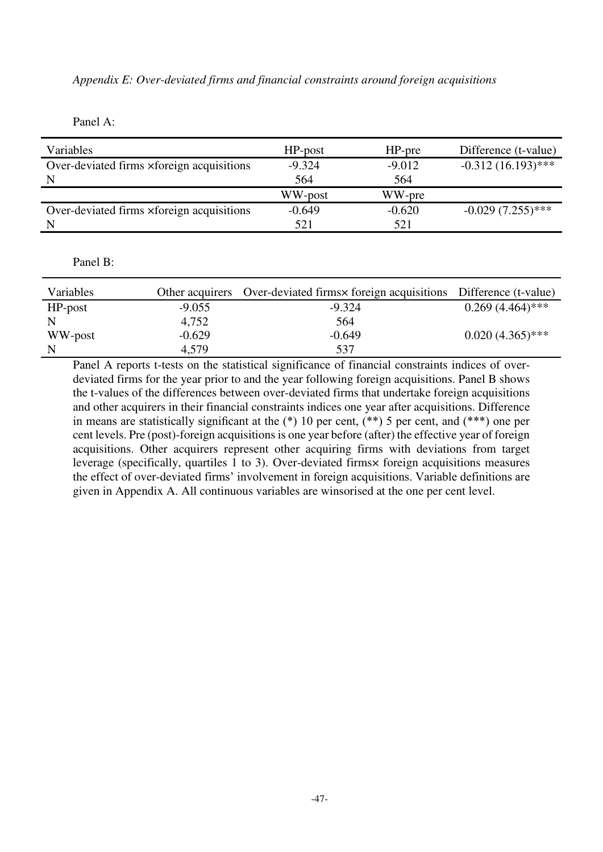# *Appendix E: Over-deviated firms and financial constraints around foreign acquisitions*

Panel A:

| Variables                                 | $HP$ -post | $HP$ -pre | Difference (t-value) |
|-------------------------------------------|------------|-----------|----------------------|
| Over-deviated firms xforeign acquisitions | $-9.324$   | $-9.012$  | $-0.312(16.193)$ *** |
| N                                         | 564        | 564       |                      |
|                                           | WW-post    | WW-pre    |                      |
| Over-deviated firms xforeign acquisitions | $-0.649$   | $-0.620$  | $-0.029(7.255)$ ***  |
| N                                         | 521        | 521       |                      |

## Panel B:

| Variables  |          | Other acquirers Over-deviated firms x foreign acquisitions Difference (t-value) |                    |
|------------|----------|---------------------------------------------------------------------------------|--------------------|
| $HP$ -post | $-9.055$ | $-9.324$                                                                        | $0.269(4.464)$ *** |
|            | 4,752    | 564                                                                             |                    |
| WW-post    | $-0.629$ | $-0.649$                                                                        | $0.020(4.365)$ *** |
|            | 4.579    | 537                                                                             |                    |

Panel A reports t-tests on the statistical significance of financial constraints indices of overdeviated firms for the year prior to and the year following foreign acquisitions. Panel B shows the t-values of the differences between over-deviated firms that undertake foreign acquisitions and other acquirers in their financial constraints indices one year after acquisitions. Difference in means are statistically significant at the  $(*)$  10 per cent,  $(**)$  5 per cent, and  $(***)$  one per cent levels. Pre (post)-foreign acquisitions is one year before (after) the effective year of foreign acquisitions. Other acquirers represent other acquiring firms with deviations from target leverage (specifically, quartiles 1 to 3). Over-deviated firms× foreign acquisitions measures the effect of over-deviated firms' involvement in foreign acquisitions. Variable definitions are given in Appendix A. All continuous variables are winsorised at the one per cent level.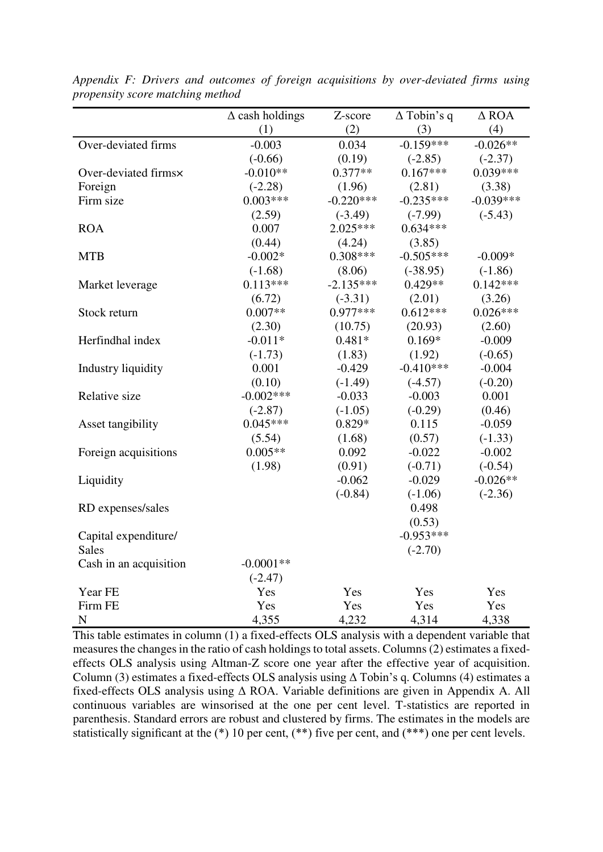|                        | $\Delta$ cash holdings | Z-score     | $\Delta$ Tobin's q | $\triangle$ ROA |
|------------------------|------------------------|-------------|--------------------|-----------------|
|                        | (1)                    | (2)         | (3)                | (4)             |
| Over-deviated firms    | $-0.003$               | 0.034       | $-0.159***$        | $-0.026**$      |
|                        | $(-0.66)$              | (0.19)      | $(-2.85)$          | $(-2.37)$       |
| Over-deviated firms×   | $-0.010**$             | $0.377**$   | $0.167***$         | $0.039***$      |
| Foreign                | $(-2.28)$              | (1.96)      | (2.81)             | (3.38)          |
| Firm size              | $0.003***$             | $-0.220***$ | $-0.235***$        | $-0.039***$     |
|                        | (2.59)                 | $(-3.49)$   | $(-7.99)$          | $(-5.43)$       |
| <b>ROA</b>             | 0.007                  | 2.025***    | $0.634***$         |                 |
|                        | (0.44)                 | (4.24)      | (3.85)             |                 |
| <b>MTB</b>             | $-0.002*$              | $0.308***$  | $-0.505***$        | $-0.009*$       |
|                        | $(-1.68)$              | (8.06)      | $(-38.95)$         | $(-1.86)$       |
| Market leverage        | $0.113***$             | $-2.135***$ | $0.429**$          | $0.142***$      |
|                        | (6.72)                 | $(-3.31)$   | (2.01)             | (3.26)          |
| Stock return           | $0.007**$              | $0.977***$  | $0.612***$         | $0.026***$      |
|                        | (2.30)                 | (10.75)     | (20.93)            | (2.60)          |
| Herfindhal index       | $-0.011*$              | $0.481*$    | $0.169*$           | $-0.009$        |
|                        | $(-1.73)$              | (1.83)      | (1.92)             | $(-0.65)$       |
| Industry liquidity     | 0.001                  | $-0.429$    | $-0.410***$        | $-0.004$        |
|                        | (0.10)                 | $(-1.49)$   | $(-4.57)$          | $(-0.20)$       |
| Relative size          | $-0.002$ ***           | $-0.033$    | $-0.003$           | 0.001           |
|                        | $(-2.87)$              | $(-1.05)$   | $(-0.29)$          | (0.46)          |
| Asset tangibility      | $0.045***$             | $0.829*$    | 0.115              | $-0.059$        |
|                        | (5.54)                 | (1.68)      | (0.57)             | $(-1.33)$       |
| Foreign acquisitions   | $0.005**$              | 0.092       | $-0.022$           | $-0.002$        |
|                        | (1.98)                 | (0.91)      | $(-0.71)$          | $(-0.54)$       |
| Liquidity              |                        | $-0.062$    | $-0.029$           | $-0.026**$      |
|                        |                        | $(-0.84)$   | $(-1.06)$          | $(-2.36)$       |
| RD expenses/sales      |                        |             | 0.498              |                 |
|                        |                        |             | (0.53)             |                 |
| Capital expenditure/   |                        |             | $-0.953***$        |                 |
| <b>Sales</b>           |                        |             | $(-2.70)$          |                 |
| Cash in an acquisition | $-0.0001**$            |             |                    |                 |
|                        | $(-2.47)$              |             |                    |                 |
| Year FE                | Yes                    | Yes         | Yes                | Yes             |
| Firm FE                | Yes                    | Yes         | Yes                | Yes             |
| ${\bf N}$              | 4,355                  | 4,232       | 4,314              | 4,338           |

*Appendix F: Drivers and outcomes of foreign acquisitions by over-deviated firms using propensity score matching method* 

This table estimates in column (1) a fixed-effects OLS analysis with a dependent variable that measures the changes in the ratio of cash holdings to total assets. Columns (2) estimates a fixedeffects OLS analysis using Altman-Z score one year after the effective year of acquisition. Column (3) estimates a fixed-effects OLS analysis using Δ Tobin's q. Columns (4) estimates a fixed-effects OLS analysis using Δ ROA. Variable definitions are given in Appendix A. All continuous variables are winsorised at the one per cent level. T*-*statistics are reported in parenthesis. Standard errors are robust and clustered by firms. The estimates in the models are statistically significant at the  $(*)$  10 per cent,  $(**)$  five per cent, and  $(***)$  one per cent levels.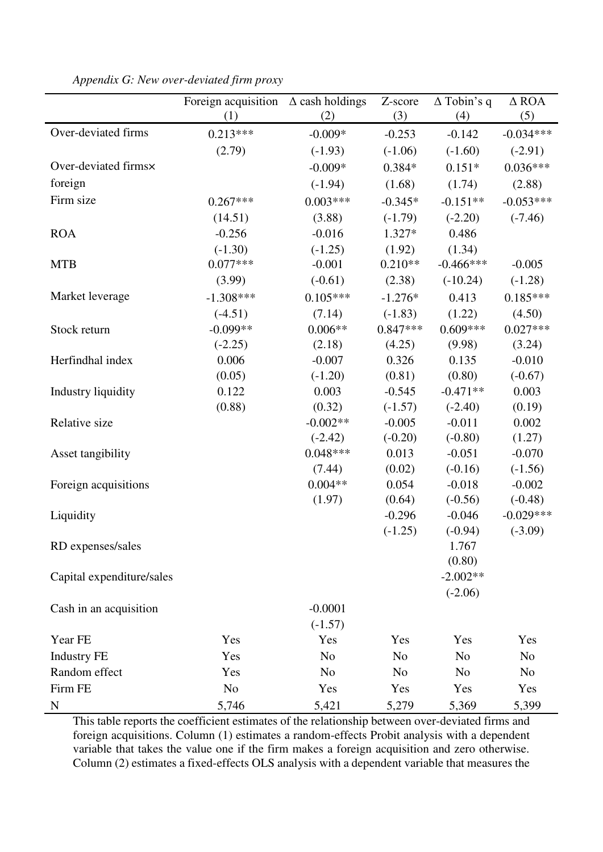|                           | Foreign acquisition $\Delta$ cash holdings |                | Z-score        | $\Delta$ Tobin's q | $\triangle$ ROA |
|---------------------------|--------------------------------------------|----------------|----------------|--------------------|-----------------|
|                           | (1)                                        | (2)            | (3)            | (4)                | (5)             |
| Over-deviated firms       | $0.213***$                                 | $-0.009*$      | $-0.253$       | $-0.142$           | $-0.034***$     |
|                           | (2.79)                                     | $(-1.93)$      | $(-1.06)$      | $(-1.60)$          | $(-2.91)$       |
| Over-deviated firms×      |                                            | $-0.009*$      | $0.384*$       | $0.151*$           | $0.036***$      |
| foreign                   |                                            | $(-1.94)$      | (1.68)         | (1.74)             | (2.88)          |
| Firm size                 | $0.267***$                                 | $0.003***$     | $-0.345*$      | $-0.151**$         | $-0.053***$     |
|                           | (14.51)                                    | (3.88)         | $(-1.79)$      | $(-2.20)$          | $(-7.46)$       |
| <b>ROA</b>                | $-0.256$                                   | $-0.016$       | $1.327*$       | 0.486              |                 |
|                           | $(-1.30)$                                  | $(-1.25)$      | (1.92)         | (1.34)             |                 |
| <b>MTB</b>                | $0.077***$                                 | $-0.001$       | $0.210**$      | $-0.466$ ***       | $-0.005$        |
|                           | (3.99)                                     | $(-0.61)$      | (2.38)         | $(-10.24)$         | $(-1.28)$       |
| Market leverage           | $-1.308***$                                | $0.105***$     | $-1.276*$      | 0.413              | $0.185***$      |
|                           | $(-4.51)$                                  | (7.14)         | $(-1.83)$      | (1.22)             | (4.50)          |
| Stock return              | $-0.099**$                                 | $0.006**$      | $0.847***$     | $0.609***$         | $0.027***$      |
|                           | $(-2.25)$                                  | (2.18)         | (4.25)         | (9.98)             | (3.24)          |
| Herfindhal index          | 0.006                                      | $-0.007$       | 0.326          | 0.135              | $-0.010$        |
|                           | (0.05)                                     | $(-1.20)$      | (0.81)         | (0.80)             | $(-0.67)$       |
| Industry liquidity        | 0.122                                      | 0.003          | $-0.545$       | $-0.471**$         | 0.003           |
|                           | (0.88)                                     | (0.32)         | $(-1.57)$      | $(-2.40)$          | (0.19)          |
| Relative size             |                                            | $-0.002**$     | $-0.005$       | $-0.011$           | 0.002           |
|                           |                                            | $(-2.42)$      | $(-0.20)$      | $(-0.80)$          | (1.27)          |
| Asset tangibility         |                                            | $0.048***$     | 0.013          | $-0.051$           | $-0.070$        |
|                           |                                            | (7.44)         | (0.02)         | $(-0.16)$          | $(-1.56)$       |
| Foreign acquisitions      |                                            | $0.004**$      | 0.054          | $-0.018$           | $-0.002$        |
|                           |                                            | (1.97)         | (0.64)         | $(-0.56)$          | $(-0.48)$       |
| Liquidity                 |                                            |                | $-0.296$       | $-0.046$           | $-0.029***$     |
|                           |                                            |                | $(-1.25)$      | $(-0.94)$          | $(-3.09)$       |
| RD expenses/sales         |                                            |                |                | 1.767              |                 |
|                           |                                            |                |                | (0.80)             |                 |
| Capital expenditure/sales |                                            |                |                | $-2.002**$         |                 |
|                           |                                            | $-0.0001$      |                | $(-2.06)$          |                 |
| Cash in an acquisition    |                                            | $(-1.57)$      |                |                    |                 |
| Year FE                   | Yes                                        | Yes            | Yes            | Yes                | Yes             |
| <b>Industry FE</b>        | Yes                                        | N <sub>o</sub> | N <sub>o</sub> | N <sub>o</sub>     | N <sub>0</sub>  |
| Random effect             | Yes                                        | N <sub>o</sub> | N <sub>o</sub> | N <sub>o</sub>     | N <sub>0</sub>  |
| Firm FE                   | N <sub>o</sub>                             | Yes            | Yes            | Yes                | Yes             |
|                           |                                            |                |                |                    |                 |
| ${\bf N}$                 | 5,746                                      | 5,421          | 5,279          | 5,369              | 5,399           |

*Appendix G: New over-deviated firm proxy* 

This table reports the coefficient estimates of the relationship between over-deviated firms and foreign acquisitions. Column (1) estimates a random-effects Probit analysis with a dependent variable that takes the value one if the firm makes a foreign acquisition and zero otherwise. Column (2) estimates a fixed-effects OLS analysis with a dependent variable that measures the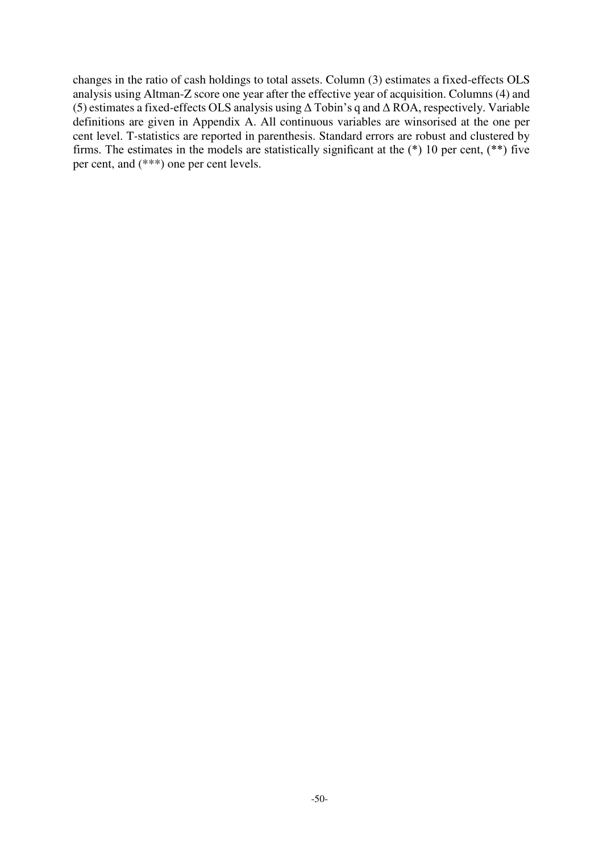changes in the ratio of cash holdings to total assets. Column (3) estimates a fixed-effects OLS analysis using Altman-Z score one year after the effective year of acquisition. Columns (4) and (5) estimates a fixed-effects OLS analysis using Δ Tobin's q and Δ ROA, respectively. Variable definitions are given in Appendix A. All continuous variables are winsorised at the one per cent level. T*-*statistics are reported in parenthesis. Standard errors are robust and clustered by firms. The estimates in the models are statistically significant at the (\*) 10 per cent, (\*\*) five per cent, and (\*\*\*) one per cent levels.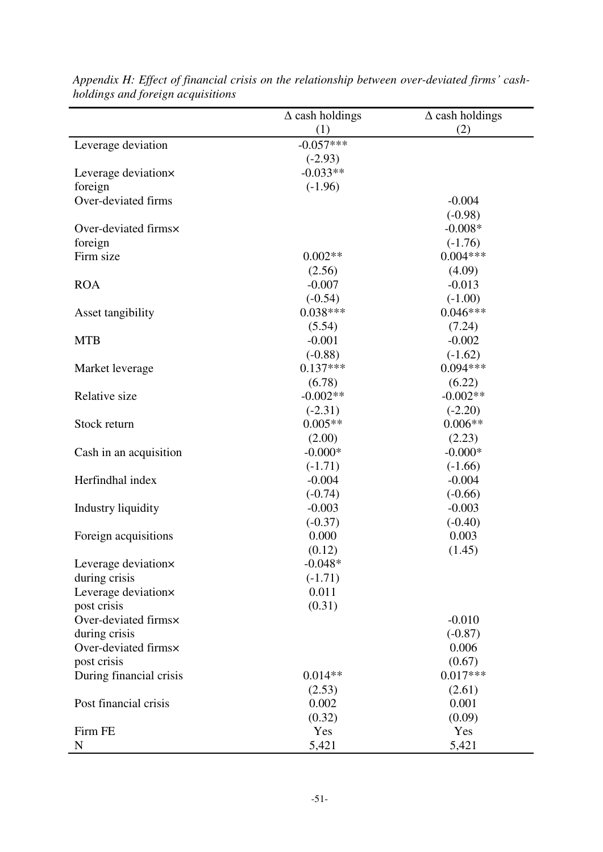|                         | $\Delta$ cash holdings | $\Delta$ cash holdings |
|-------------------------|------------------------|------------------------|
|                         | (1)                    | (2)                    |
| Leverage deviation      | $-0.057***$            |                        |
|                         | $(-2.93)$              |                        |
| Leverage deviation×     | $-0.033**$             |                        |
| foreign                 | $(-1.96)$              |                        |
| Over-deviated firms     |                        | $-0.004$               |
|                         |                        | $(-0.98)$              |
| Over-deviated firms×    |                        | $-0.008*$              |
| foreign                 |                        | $(-1.76)$              |
| Firm size               | $0.002**$              | $0.004***$             |
|                         | (2.56)                 | (4.09)                 |
| <b>ROA</b>              | $-0.007$               | $-0.013$               |
|                         | $(-0.54)$              | $(-1.00)$              |
| Asset tangibility       | $0.038***$             | $0.046***$             |
|                         | (5.54)                 | (7.24)                 |
| <b>MTB</b>              | $-0.001$               | $-0.002$               |
|                         | $(-0.88)$              | $(-1.62)$              |
| Market leverage         | $0.137***$             | $0.094***$             |
|                         | (6.78)                 | (6.22)                 |
| Relative size           | $-0.002**$             | $-0.002**$             |
|                         | $(-2.31)$              | $(-2.20)$              |
| Stock return            | $0.005**$              | $0.006**$              |
|                         | (2.00)                 | (2.23)                 |
| Cash in an acquisition  | $-0.000*$              | $-0.000*$              |
|                         | $(-1.71)$              | $(-1.66)$              |
| Herfindhal index        | $-0.004$               | $-0.004$               |
|                         | $(-0.74)$              | $(-0.66)$              |
| Industry liquidity      | $-0.003$               | $-0.003$               |
|                         | $(-0.37)$              | $(-0.40)$              |
| Foreign acquisitions    | 0.000                  | 0.003                  |
|                         | (0.12)                 | (1.45)                 |
| Leverage deviation×     | $-0.048*$              |                        |
| during crisis           | $(-1.71)$              |                        |
| Leverage deviationx     | 0.011                  |                        |
| post crisis             | (0.31)                 |                        |
| Over-deviated firms×    |                        | $-0.010$               |
| during crisis           |                        | $(-0.87)$              |
| Over-deviated firms×    |                        | 0.006                  |
| post crisis             |                        | (0.67)                 |
| During financial crisis | $0.014**$              | $0.017***$             |
|                         | (2.53)                 | (2.61)                 |
| Post financial crisis   | 0.002                  | 0.001                  |
|                         | (0.32)                 | (0.09)                 |
| Firm FE                 | Yes                    | Yes                    |
| N                       | 5,421                  | 5,421                  |

Appendix H: Effect of financial crisis on the relationship between over-deviated firms' cash*holdings and foreign acquisitions*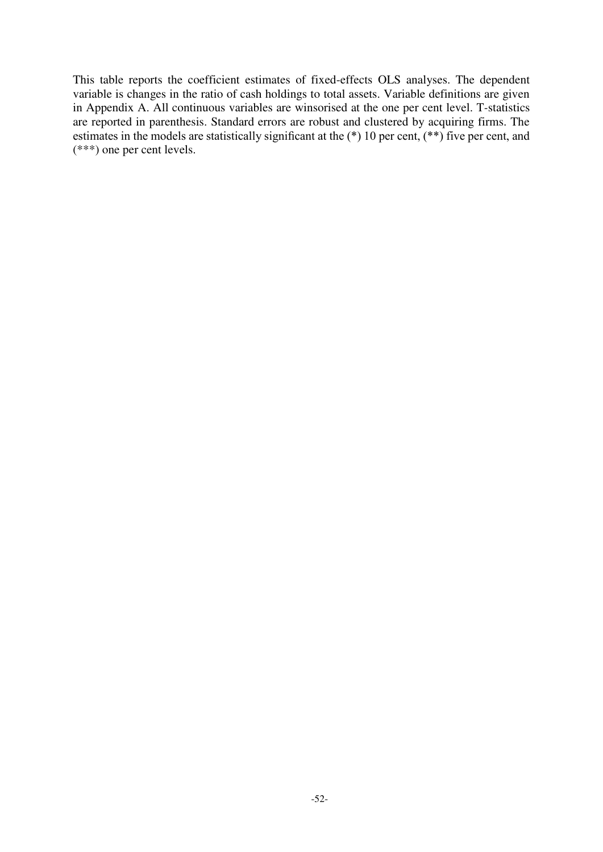This table reports the coefficient estimates of fixed-effects OLS analyses. The dependent variable is changes in the ratio of cash holdings to total assets. Variable definitions are given in Appendix A. All continuous variables are winsorised at the one per cent level. T*-*statistics are reported in parenthesis. Standard errors are robust and clustered by acquiring firms. The estimates in the models are statistically significant at the (\*) 10 per cent, (\*\*) five per cent, and (\*\*\*) one per cent levels.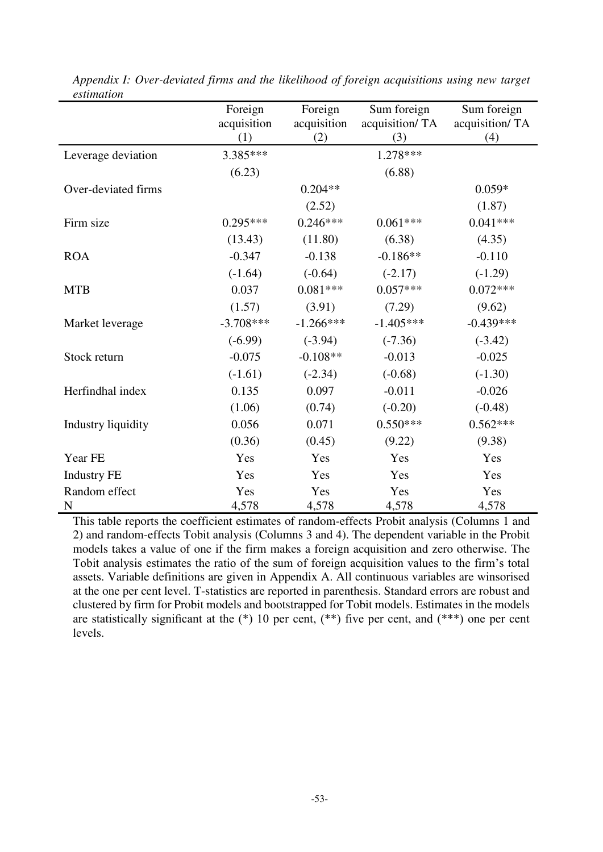|                              | Foreign<br>acquisition<br>(1) | Foreign<br>acquisition<br>(2) | Sum foreign<br>acquisition/TA<br>(3) | Sum foreign<br>acquisition/TA<br>(4) |
|------------------------------|-------------------------------|-------------------------------|--------------------------------------|--------------------------------------|
| Leverage deviation           | 3.385***                      |                               | $1.278***$                           |                                      |
|                              | (6.23)                        |                               | (6.88)                               |                                      |
| Over-deviated firms          |                               | $0.204**$                     |                                      | $0.059*$                             |
|                              |                               | (2.52)                        |                                      | (1.87)                               |
| Firm size                    | $0.295***$                    | $0.246***$                    | $0.061***$                           | $0.041***$                           |
|                              | (13.43)                       | (11.80)                       | (6.38)                               | (4.35)                               |
| <b>ROA</b>                   | $-0.347$                      | $-0.138$                      | $-0.186**$                           | $-0.110$                             |
|                              | $(-1.64)$                     | $(-0.64)$                     | $(-2.17)$                            | $(-1.29)$                            |
| <b>MTB</b>                   | 0.037                         | $0.081***$                    | $0.057***$                           | $0.072***$                           |
|                              | (1.57)                        | (3.91)                        | (7.29)                               | (9.62)                               |
| Market leverage              | $-3.708***$                   | $-1.266***$                   | $-1.405***$                          | $-0.439***$                          |
|                              | $(-6.99)$                     | $(-3.94)$                     | $(-7.36)$                            | $(-3.42)$                            |
| Stock return                 | $-0.075$                      | $-0.108**$                    | $-0.013$                             | $-0.025$                             |
|                              | $(-1.61)$                     | $(-2.34)$                     | $(-0.68)$                            | $(-1.30)$                            |
| Herfindhal index             | 0.135                         | 0.097                         | $-0.011$                             | $-0.026$                             |
|                              | (1.06)                        | (0.74)                        | $(-0.20)$                            | $(-0.48)$                            |
| Industry liquidity           | 0.056                         | 0.071                         | $0.550***$                           | $0.562***$                           |
|                              | (0.36)                        | (0.45)                        | (9.22)                               | (9.38)                               |
| Year FE                      | Yes                           | Yes                           | Yes                                  | Yes                                  |
| <b>Industry FE</b>           | Yes                           | Yes                           | Yes                                  | Yes                                  |
| Random effect<br>$\mathbf N$ | Yes<br>4,578                  | Yes<br>4,578                  | Yes<br>4,578                         | Yes<br>4,578                         |

*Appendix I: Over-deviated firms and the likelihood of foreign acquisitions using new target estimation* 

This table reports the coefficient estimates of random-effects Probit analysis (Columns 1 and 2) and random-effects Tobit analysis (Columns 3 and 4). The dependent variable in the Probit models takes a value of one if the firm makes a foreign acquisition and zero otherwise. The Tobit analysis estimates the ratio of the sum of foreign acquisition values to the firm's total assets. Variable definitions are given in Appendix A. All continuous variables are winsorised at the one per cent level. T-statistics are reported in parenthesis. Standard errors are robust and clustered by firm for Probit models and bootstrapped for Tobit models. Estimates in the models are statistically significant at the  $(*)$  10 per cent,  $(**)$  five per cent, and  $(***)$  one per cent levels.